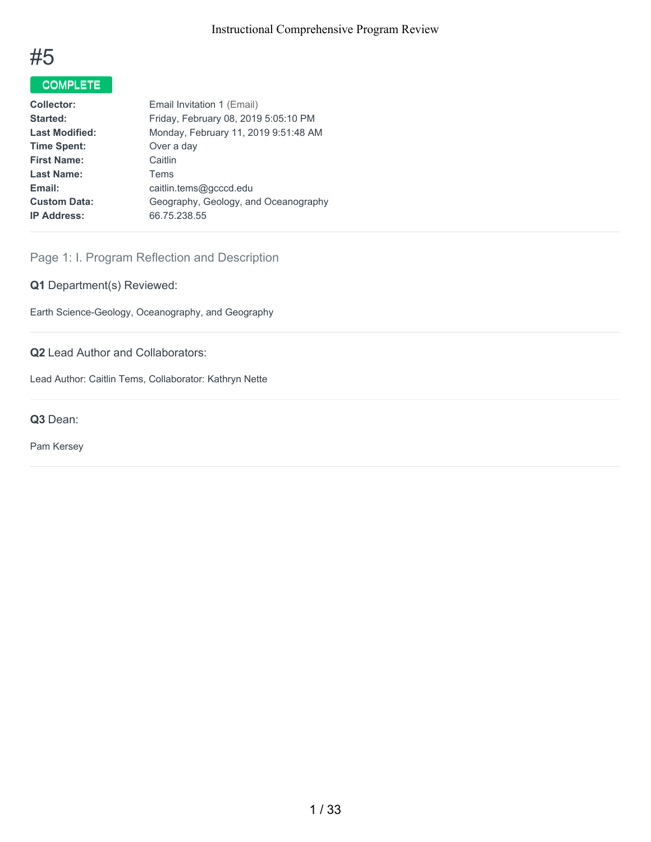

# COMPLETE

| <b>Collector:</b>     | Email Invitation 1 (Email)           |
|-----------------------|--------------------------------------|
| Started:              | Friday, February 08, 2019 5:05:10 PM |
| <b>Last Modified:</b> | Monday, February 11, 2019 9:51:48 AM |
| <b>Time Spent:</b>    | Over a day                           |
| <b>First Name:</b>    | Caitlin                              |
| Last Name:            | Tems                                 |
| Email:                | caitlin.tems@gcccd.edu               |
| <b>Custom Data:</b>   | Geography, Geology, and Oceanography |
| <b>IP Address:</b>    | 66.75.238.55                         |
|                       |                                      |

## Page 1: I. Program Reflection and Description

## **Q1** Department(s) Reviewed:

Earth Science-Geology, Oceanography, and Geography

## **Q2** Lead Author and Collaborators:

Lead Author: Caitlin Tems, Collaborator: Kathryn Nette

**Q3** Dean:

Pam Kersey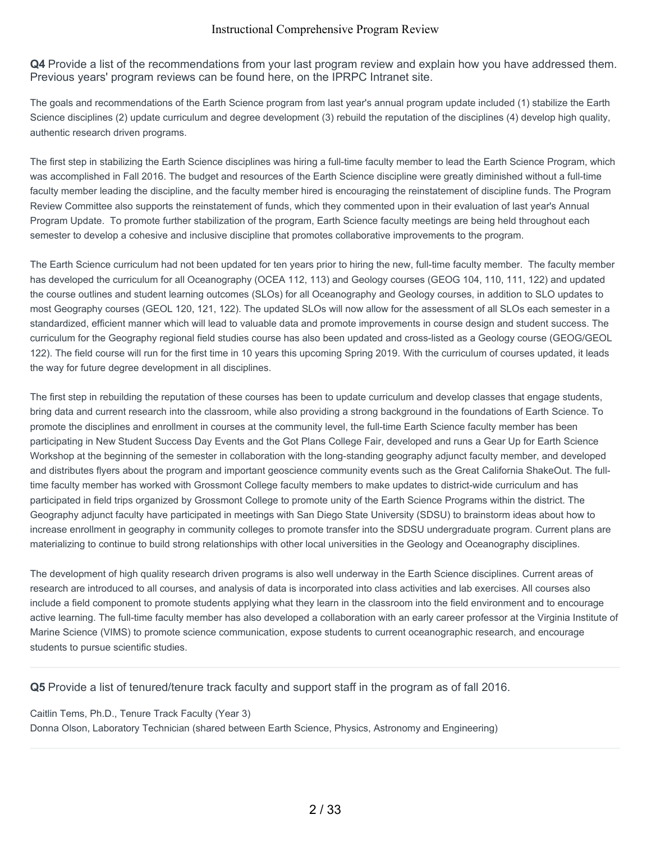**Q4** Provide a list of the recommendations from your last program review and explain how you have addressed them. Previous years' program reviews can be found here, on the IPRPC Intranet site.

The goals and recommendations of the Earth Science program from last year's annual program update included (1) stabilize the Earth Science disciplines (2) update curriculum and degree development (3) rebuild the reputation of the disciplines (4) develop high quality, authentic research driven programs.

The first step in stabilizing the Earth Science disciplines was hiring a full-time faculty member to lead the Earth Science Program, which was accomplished in Fall 2016. The budget and resources of the Earth Science discipline were greatly diminished without a full-time faculty member leading the discipline, and the faculty member hired is encouraging the reinstatement of discipline funds. The Program Review Committee also supports the reinstatement of funds, which they commented upon in their evaluation of last year's Annual Program Update. To promote further stabilization of the program, Earth Science faculty meetings are being held throughout each semester to develop a cohesive and inclusive discipline that promotes collaborative improvements to the program.

The Earth Science curriculum had not been updated for ten years prior to hiring the new, full-time faculty member. The faculty member has developed the curriculum for all Oceanography (OCEA 112, 113) and Geology courses (GEOG 104, 110, 111, 122) and updated the course outlines and student learning outcomes (SLOs) for all Oceanography and Geology courses, in addition to SLO updates to most Geography courses (GEOL 120, 121, 122). The updated SLOs will now allow for the assessment of all SLOs each semester in a standardized, efficient manner which will lead to valuable data and promote improvements in course design and student success. The curriculum for the Geography regional field studies course has also been updated and cross-listed as a Geology course (GEOG/GEOL 122). The field course will run for the first time in 10 years this upcoming Spring 2019. With the curriculum of courses updated, it leads the way for future degree development in all disciplines.

The first step in rebuilding the reputation of these courses has been to update curriculum and develop classes that engage students, bring data and current research into the classroom, while also providing a strong background in the foundations of Earth Science. To promote the disciplines and enrollment in courses at the community level, the full-time Earth Science faculty member has been participating in New Student Success Day Events and the Got Plans College Fair, developed and runs a Gear Up for Earth Science Workshop at the beginning of the semester in collaboration with the long-standing geography adjunct faculty member, and developed and distributes flyers about the program and important geoscience community events such as the Great California ShakeOut. The fulltime faculty member has worked with Grossmont College faculty members to make updates to district-wide curriculum and has participated in field trips organized by Grossmont College to promote unity of the Earth Science Programs within the district. The Geography adjunct faculty have participated in meetings with San Diego State University (SDSU) to brainstorm ideas about how to increase enrollment in geography in community colleges to promote transfer into the SDSU undergraduate program. Current plans are materializing to continue to build strong relationships with other local universities in the Geology and Oceanography disciplines.

The development of high quality research driven programs is also well underway in the Earth Science disciplines. Current areas of research are introduced to all courses, and analysis of data is incorporated into class activities and lab exercises. All courses also include a field component to promote students applying what they learn in the classroom into the field environment and to encourage active learning. The full-time faculty member has also developed a collaboration with an early career professor at the Virginia Institute of Marine Science (VIMS) to promote science communication, expose students to current oceanographic research, and encourage students to pursue scientific studies.

**Q5** Provide a list of tenured/tenure track faculty and support staff in the program as of fall 2016.

Caitlin Tems, Ph.D., Tenure Track Faculty (Year 3) Donna Olson, Laboratory Technician (shared between Earth Science, Physics, Astronomy and Engineering)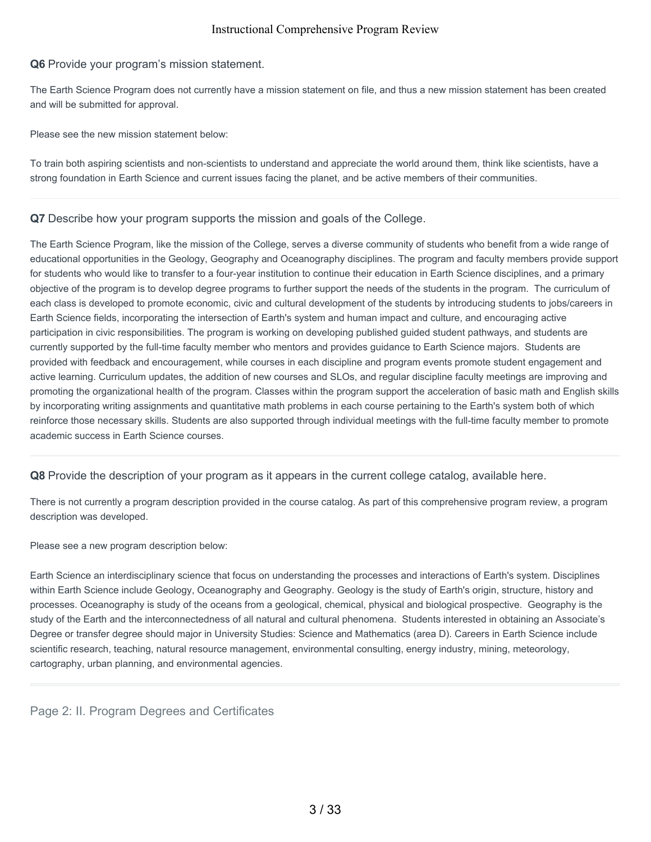## **Q6** Provide your program's mission statement.

The Earth Science Program does not currently have a mission statement on file, and thus a new mission statement has been created and will be submitted for approval.

Please see the new mission statement below:

To train both aspiring scientists and non-scientists to understand and appreciate the world around them, think like scientists, have a strong foundation in Earth Science and current issues facing the planet, and be active members of their communities.

**Q7** Describe how your program supports the mission and goals of the College.

The Earth Science Program, like the mission of the College, serves a diverse community of students who benefit from a wide range of educational opportunities in the Geology, Geography and Oceanography disciplines. The program and faculty members provide support for students who would like to transfer to a four-year institution to continue their education in Earth Science disciplines, and a primary objective of the program is to develop degree programs to further support the needs of the students in the program. The curriculum of each class is developed to promote economic, civic and cultural development of the students by introducing students to jobs/careers in Earth Science fields, incorporating the intersection of Earth's system and human impact and culture, and encouraging active participation in civic responsibilities. The program is working on developing published guided student pathways, and students are currently supported by the full-time faculty member who mentors and provides guidance to Earth Science majors. Students are provided with feedback and encouragement, while courses in each discipline and program events promote student engagement and active learning. Curriculum updates, the addition of new courses and SLOs, and regular discipline faculty meetings are improving and promoting the organizational health of the program. Classes within the program support the acceleration of basic math and English skills by incorporating writing assignments and quantitative math problems in each course pertaining to the Earth's system both of which reinforce those necessary skills. Students are also supported through individual meetings with the full-time faculty member to promote academic success in Earth Science courses.

**Q8** Provide the description of your program as it appears in the current college catalog, available here.

There is not currently a program description provided in the course catalog. As part of this comprehensive program review, a program description was developed.

Please see a new program description below:

Earth Science an interdisciplinary science that focus on understanding the processes and interactions of Earth's system. Disciplines within Earth Science include Geology, Oceanography and Geography. Geology is the study of Earth's origin, structure, history and processes. Oceanography is study of the oceans from a geological, chemical, physical and biological prospective. Geography is the study of the Earth and the interconnectedness of all natural and cultural phenomena. Students interested in obtaining an Associate's Degree or transfer degree should major in University Studies: Science and Mathematics (area D). Careers in Earth Science include scientific research, teaching, natural resource management, environmental consulting, energy industry, mining, meteorology, cartography, urban planning, and environmental agencies.

Page 2: II. Program Degrees and Certificates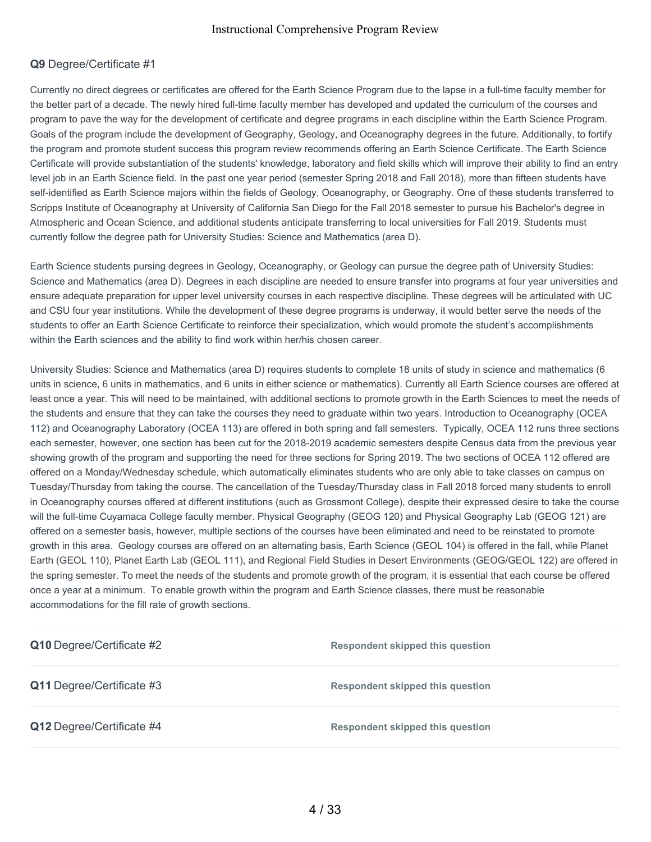## **Q9** Degree/Certificate #1

Currently no direct degrees or certificates are offered for the Earth Science Program due to the lapse in a full-time faculty member for the better part of a decade. The newly hired full-time faculty member has developed and updated the curriculum of the courses and program to pave the way for the development of certificate and degree programs in each discipline within the Earth Science Program. Goals of the program include the development of Geography, Geology, and Oceanography degrees in the future. Additionally, to fortify the program and promote student success this program review recommends offering an Earth Science Certificate. The Earth Science Certificate will provide substantiation of the students' knowledge, laboratory and field skills which will improve their ability to find an entry level job in an Earth Science field. In the past one year period (semester Spring 2018 and Fall 2018), more than fifteen students have self-identified as Earth Science majors within the fields of Geology, Oceanography, or Geography. One of these students transferred to Scripps Institute of Oceanography at University of California San Diego for the Fall 2018 semester to pursue his Bachelor's degree in Atmospheric and Ocean Science, and additional students anticipate transferring to local universities for Fall 2019. Students must currently follow the degree path for University Studies: Science and Mathematics (area D).

Earth Science students pursing degrees in Geology, Oceanography, or Geology can pursue the degree path of University Studies: Science and Mathematics (area D). Degrees in each discipline are needed to ensure transfer into programs at four year universities and ensure adequate preparation for upper level university courses in each respective discipline. These degrees will be articulated with UC and CSU four year institutions. While the development of these degree programs is underway, it would better serve the needs of the students to offer an Earth Science Certificate to reinforce their specialization, which would promote the student's accomplishments within the Earth sciences and the ability to find work within her/his chosen career.

University Studies: Science and Mathematics (area D) requires students to complete 18 units of study in science and mathematics (6 units in science, 6 units in mathematics, and 6 units in either science or mathematics). Currently all Earth Science courses are offered at least once a year. This will need to be maintained, with additional sections to promote growth in the Earth Sciences to meet the needs of the students and ensure that they can take the courses they need to graduate within two years. Introduction to Oceanography (OCEA 112) and Oceanography Laboratory (OCEA 113) are offered in both spring and fall semesters. Typically, OCEA 112 runs three sections each semester, however, one section has been cut for the 2018-2019 academic semesters despite Census data from the previous year showing growth of the program and supporting the need for three sections for Spring 2019. The two sections of OCEA 112 offered are offered on a Monday/Wednesday schedule, which automatically eliminates students who are only able to take classes on campus on Tuesday/Thursday from taking the course. The cancellation of the Tuesday/Thursday class in Fall 2018 forced many students to enroll in Oceanography courses offered at different institutions (such as Grossmont College), despite their expressed desire to take the course will the full-time Cuyamaca College faculty member. Physical Geography (GEOG 120) and Physical Geography Lab (GEOG 121) are offered on a semester basis, however, multiple sections of the courses have been eliminated and need to be reinstated to promote growth in this area. Geology courses are offered on an alternating basis, Earth Science (GEOL 104) is offered in the fall, while Planet Earth (GEOL 110), Planet Earth Lab (GEOL 111), and Regional Field Studies in Desert Environments (GEOG/GEOL 122) are offered in the spring semester. To meet the needs of the students and promote growth of the program, it is essential that each course be offered once a year at a minimum. To enable growth within the program and Earth Science classes, there must be reasonable accommodations for the fill rate of growth sections.

| Q10 Degree/Certificate #2 | <b>Respondent skipped this question</b> |
|---------------------------|-----------------------------------------|
| Q11 Degree/Certificate #3 | <b>Respondent skipped this question</b> |
| Q12 Degree/Certificate #4 | <b>Respondent skipped this question</b> |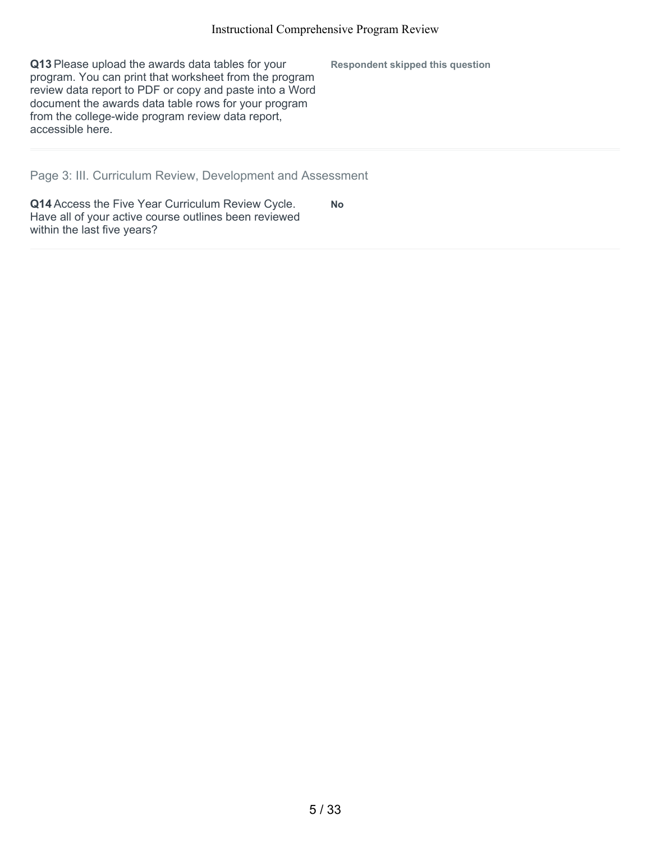**Q13** Please upload the awards data tables for your program. You can print that worksheet from the program review data report to PDF or copy and paste into a Word document the awards data table rows for your program from the college-wide program review data report, accessible here. **Respondent skipped this question**

Page 3: III. Curriculum Review, Development and Assessment

**Q14** Access the Five Year Curriculum Review Cycle. Have all of your active course outlines been reviewed within the last five years? **No**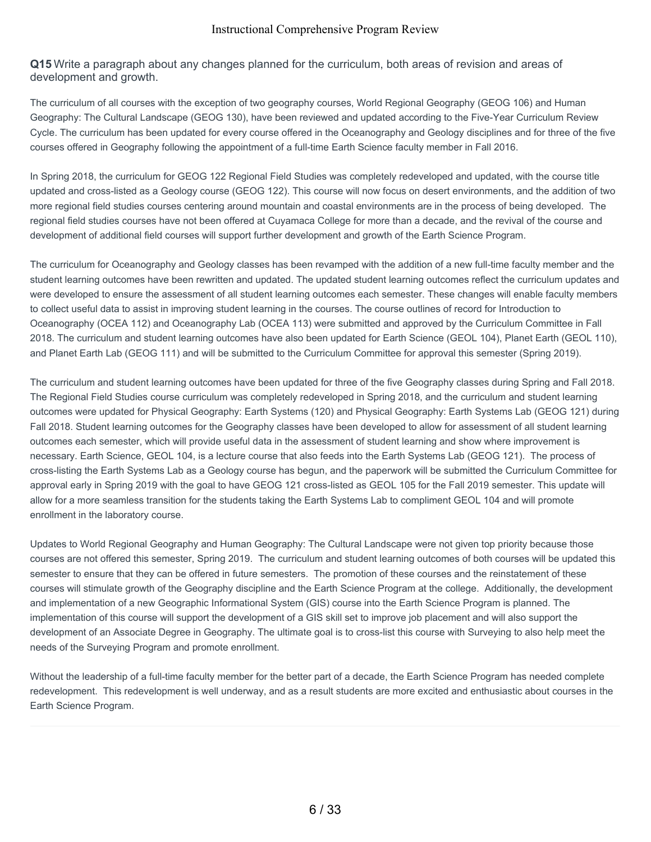**Q15** Write a paragraph about any changes planned for the curriculum, both areas of revision and areas of development and growth.

The curriculum of all courses with the exception of two geography courses, World Regional Geography (GEOG 106) and Human Geography: The Cultural Landscape (GEOG 130), have been reviewed and updated according to the Five-Year Curriculum Review Cycle. The curriculum has been updated for every course offered in the Oceanography and Geology disciplines and for three of the five courses offered in Geography following the appointment of a full-time Earth Science faculty member in Fall 2016.

In Spring 2018, the curriculum for GEOG 122 Regional Field Studies was completely redeveloped and updated, with the course title updated and cross-listed as a Geology course (GEOG 122). This course will now focus on desert environments, and the addition of two more regional field studies courses centering around mountain and coastal environments are in the process of being developed. The regional field studies courses have not been offered at Cuyamaca College for more than a decade, and the revival of the course and development of additional field courses will support further development and growth of the Earth Science Program.

The curriculum for Oceanography and Geology classes has been revamped with the addition of a new full-time faculty member and the student learning outcomes have been rewritten and updated. The updated student learning outcomes reflect the curriculum updates and were developed to ensure the assessment of all student learning outcomes each semester. These changes will enable faculty members to collect useful data to assist in improving student learning in the courses. The course outlines of record for Introduction to Oceanography (OCEA 112) and Oceanography Lab (OCEA 113) were submitted and approved by the Curriculum Committee in Fall 2018. The curriculum and student learning outcomes have also been updated for Earth Science (GEOL 104), Planet Earth (GEOL 110), and Planet Earth Lab (GEOG 111) and will be submitted to the Curriculum Committee for approval this semester (Spring 2019).

The curriculum and student learning outcomes have been updated for three of the five Geography classes during Spring and Fall 2018. The Regional Field Studies course curriculum was completely redeveloped in Spring 2018, and the curriculum and student learning outcomes were updated for Physical Geography: Earth Systems (120) and Physical Geography: Earth Systems Lab (GEOG 121) during Fall 2018. Student learning outcomes for the Geography classes have been developed to allow for assessment of all student learning outcomes each semester, which will provide useful data in the assessment of student learning and show where improvement is necessary. Earth Science, GEOL 104, is a lecture course that also feeds into the Earth Systems Lab (GEOG 121). The process of cross-listing the Earth Systems Lab as a Geology course has begun, and the paperwork will be submitted the Curriculum Committee for approval early in Spring 2019 with the goal to have GEOG 121 cross-listed as GEOL 105 for the Fall 2019 semester. This update will allow for a more seamless transition for the students taking the Earth Systems Lab to compliment GEOL 104 and will promote enrollment in the laboratory course.

Updates to World Regional Geography and Human Geography: The Cultural Landscape were not given top priority because those courses are not offered this semester, Spring 2019. The curriculum and student learning outcomes of both courses will be updated this semester to ensure that they can be offered in future semesters. The promotion of these courses and the reinstatement of these courses will stimulate growth of the Geography discipline and the Earth Science Program at the college. Additionally, the development and implementation of a new Geographic Informational System (GIS) course into the Earth Science Program is planned. The implementation of this course will support the development of a GIS skill set to improve job placement and will also support the development of an Associate Degree in Geography. The ultimate goal is to cross-list this course with Surveying to also help meet the needs of the Surveying Program and promote enrollment.

Without the leadership of a full-time faculty member for the better part of a decade, the Earth Science Program has needed complete redevelopment. This redevelopment is well underway, and as a result students are more excited and enthusiastic about courses in the Earth Science Program.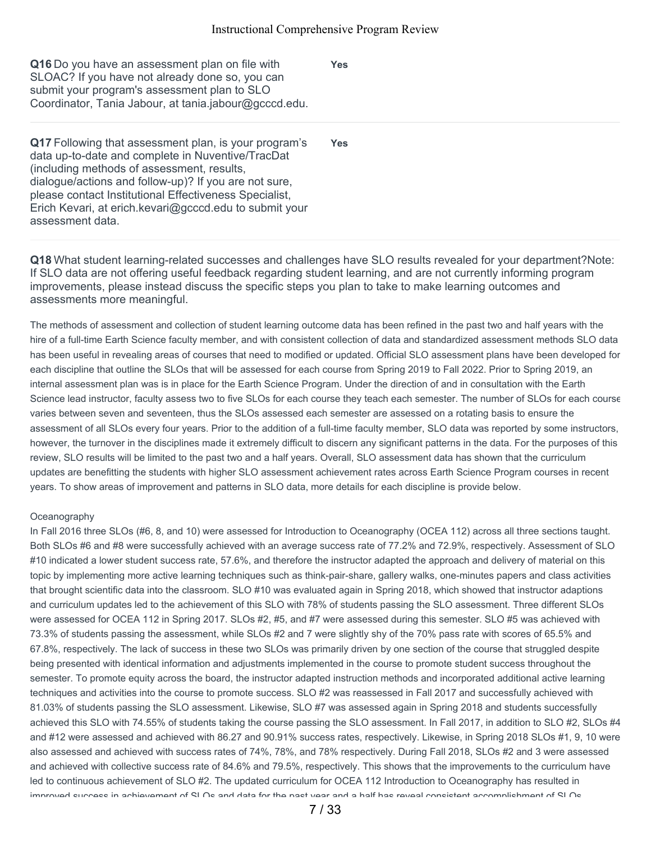**Yes**

| Q16 Do you have an assessment plan on file with       |
|-------------------------------------------------------|
| SLOAC? If you have not already done so, you can       |
| submit your program's assessment plan to SLO          |
| Coordinator, Tania Jabour, at tania.jabour@gcccd.edu. |

**Q17** Following that assessment plan, is your program's data up-to-date and complete in Nuventive/TracDat (including methods of assessment, results, dialogue/actions and follow-up)? If you are not sure, please contact Institutional Effectiveness Specialist, Erich Kevari, at erich.kevari@gcccd.edu to submit your assessment data. **Yes**

**Q18** What student learning-related successes and challenges have SLO results revealed for your department?Note: If SLO data are not offering useful feedback regarding student learning, and are not currently informing program improvements, please instead discuss the specific steps you plan to take to make learning outcomes and assessments more meaningful.

The methods of assessment and collection of student learning outcome data has been refined in the past two and half years with the hire of a full-time Earth Science faculty member, and with consistent collection of data and standardized assessment methods SLO data has been useful in revealing areas of courses that need to modified or updated. Official SLO assessment plans have been developed for each discipline that outline the SLOs that will be assessed for each course from Spring 2019 to Fall 2022. Prior to Spring 2019, an internal assessment plan was is in place for the Earth Science Program. Under the direction of and in consultation with the Earth Science lead instructor, faculty assess two to five SLOs for each course they teach each semester. The number of SLOs for each course varies between seven and seventeen, thus the SLOs assessed each semester are assessed on a rotating basis to ensure the assessment of all SLOs every four years. Prior to the addition of a full-time faculty member, SLO data was reported by some instructors, however, the turnover in the disciplines made it extremely difficult to discern any significant patterns in the data. For the purposes of this review, SLO results will be limited to the past two and a half years. Overall, SLO assessment data has shown that the curriculum updates are benefitting the students with higher SLO assessment achievement rates across Earth Science Program courses in recent years. To show areas of improvement and patterns in SLO data, more details for each discipline is provide below.

#### **Oceanography**

In Fall 2016 three SLOs (#6, 8, and 10) were assessed for Introduction to Oceanography (OCEA 112) across all three sections taught. Both SLOs #6 and #8 were successfully achieved with an average success rate of 77.2% and 72.9%, respectively. Assessment of SLO #10 indicated a lower student success rate, 57.6%, and therefore the instructor adapted the approach and delivery of material on this topic by implementing more active learning techniques such as think-pair-share, gallery walks, one-minutes papers and class activities that brought scientific data into the classroom. SLO #10 was evaluated again in Spring 2018, which showed that instructor adaptions and curriculum updates led to the achievement of this SLO with 78% of students passing the SLO assessment. Three different SLOs were assessed for OCEA 112 in Spring 2017. SLOs #2, #5, and #7 were assessed during this semester. SLO #5 was achieved with 73.3% of students passing the assessment, while SLOs #2 and 7 were slightly shy of the 70% pass rate with scores of 65.5% and 67.8%, respectively. The lack of success in these two SLOs was primarily driven by one section of the course that struggled despite being presented with identical information and adjustments implemented in the course to promote student success throughout the semester. To promote equity across the board, the instructor adapted instruction methods and incorporated additional active learning techniques and activities into the course to promote success. SLO #2 was reassessed in Fall 2017 and successfully achieved with 81.03% of students passing the SLO assessment. Likewise, SLO #7 was assessed again in Spring 2018 and students successfully achieved this SLO with 74.55% of students taking the course passing the SLO assessment. In Fall 2017, in addition to SLO #2, SLOs #4 and #12 were assessed and achieved with 86.27 and 90.91% success rates, respectively. Likewise, in Spring 2018 SLOs #1, 9, 10 were also assessed and achieved with success rates of 74%, 78%, and 78% respectively. During Fall 2018, SLOs #2 and 3 were assessed and achieved with collective success rate of 84.6% and 79.5%, respectively. This shows that the improvements to the curriculum have led to continuous achievement of SLO #2. The updated curriculum for OCEA 112 Introduction to Oceanography has resulted in improved success in achievement of SLOs and data for the past year and a half has reveal consistent accomplishment of SLOs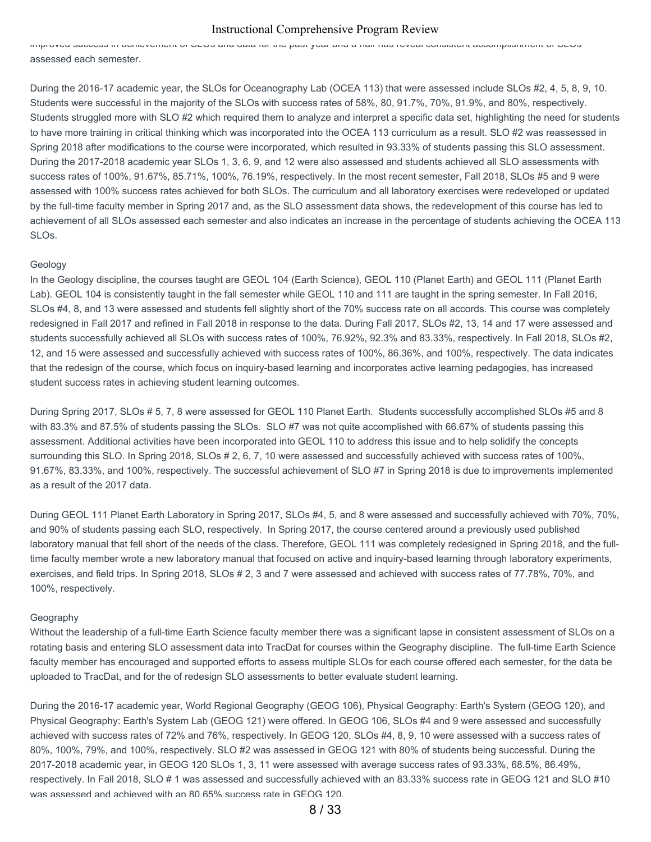improved success in achievement of SLOs and data for the past year and a half has reveal consistent accomplishment of SLOs assessed each semester.

During the 2016-17 academic year, the SLOs for Oceanography Lab (OCEA 113) that were assessed include SLOs #2, 4, 5, 8, 9, 10. Students were successful in the majority of the SLOs with success rates of 58%, 80, 91.7%, 70%, 91.9%, and 80%, respectively. Students struggled more with SLO #2 which required them to analyze and interpret a specific data set, highlighting the need for students to have more training in critical thinking which was incorporated into the OCEA 113 curriculum as a result. SLO #2 was reassessed in Spring 2018 after modifications to the course were incorporated, which resulted in 93.33% of students passing this SLO assessment. During the 2017-2018 academic year SLOs 1, 3, 6, 9, and 12 were also assessed and students achieved all SLO assessments with success rates of 100%, 91.67%, 85.71%, 100%, 76.19%, respectively. In the most recent semester, Fall 2018, SLOs #5 and 9 were assessed with 100% success rates achieved for both SLOs. The curriculum and all laboratory exercises were redeveloped or updated by the full-time faculty member in Spring 2017 and, as the SLO assessment data shows, the redevelopment of this course has led to achievement of all SLOs assessed each semester and also indicates an increase in the percentage of students achieving the OCEA 113 SLOs.

#### Geology

In the Geology discipline, the courses taught are GEOL 104 (Earth Science), GEOL 110 (Planet Earth) and GEOL 111 (Planet Earth Lab). GEOL 104 is consistently taught in the fall semester while GEOL 110 and 111 are taught in the spring semester. In Fall 2016, SLOs #4, 8, and 13 were assessed and students fell slightly short of the 70% success rate on all accords. This course was completely redesigned in Fall 2017 and refined in Fall 2018 in response to the data. During Fall 2017, SLOs #2, 13, 14 and 17 were assessed and students successfully achieved all SLOs with success rates of 100%, 76.92%, 92.3% and 83.33%, respectively. In Fall 2018, SLOs #2, 12, and 15 were assessed and successfully achieved with success rates of 100%, 86.36%, and 100%, respectively. The data indicates that the redesign of the course, which focus on inquiry-based learning and incorporates active learning pedagogies, has increased student success rates in achieving student learning outcomes.

During Spring 2017, SLOs # 5, 7, 8 were assessed for GEOL 110 Planet Earth. Students successfully accomplished SLOs #5 and 8 with 83.3% and 87.5% of students passing the SLOs. SLO #7 was not quite accomplished with 66.67% of students passing this assessment. Additional activities have been incorporated into GEOL 110 to address this issue and to help solidify the concepts surrounding this SLO. In Spring 2018, SLOs # 2, 6, 7, 10 were assessed and successfully achieved with success rates of 100%, 91.67%, 83.33%, and 100%, respectively. The successful achievement of SLO #7 in Spring 2018 is due to improvements implemented as a result of the 2017 data.

During GEOL 111 Planet Earth Laboratory in Spring 2017, SLOs #4, 5, and 8 were assessed and successfully achieved with 70%, 70%, and 90% of students passing each SLO, respectively. In Spring 2017, the course centered around a previously used published laboratory manual that fell short of the needs of the class. Therefore, GEOL 111 was completely redesigned in Spring 2018, and the fulltime faculty member wrote a new laboratory manual that focused on active and inquiry-based learning through laboratory experiments, exercises, and field trips. In Spring 2018, SLOs # 2, 3 and 7 were assessed and achieved with success rates of 77.78%, 70%, and 100%, respectively.

#### Geography

Without the leadership of a full-time Earth Science faculty member there was a significant lapse in consistent assessment of SLOs on a rotating basis and entering SLO assessment data into TracDat for courses within the Geography discipline. The full-time Earth Science faculty member has encouraged and supported efforts to assess multiple SLOs for each course offered each semester, for the data be uploaded to TracDat, and for the of redesign SLO assessments to better evaluate student learning.

During the 2016-17 academic year, World Regional Geography (GEOG 106), Physical Geography: Earth's System (GEOG 120), and Physical Geography: Earth's System Lab (GEOG 121) were offered. In GEOG 106, SLOs #4 and 9 were assessed and successfully achieved with success rates of 72% and 76%, respectively. In GEOG 120, SLOs #4, 8, 9, 10 were assessed with a success rates of 80%, 100%, 79%, and 100%, respectively. SLO #2 was assessed in GEOG 121 with 80% of students being successful. During the 2017-2018 academic year, in GEOG 120 SLOs 1, 3, 11 were assessed with average success rates of 93.33%, 68.5%, 86.49%, respectively. In Fall 2018, SLO # 1 was assessed and successfully achieved with an 83.33% success rate in GEOG 121 and SLO #10 was assessed and achieved with an 80.65% success rate in GEOG 120.

8 / 33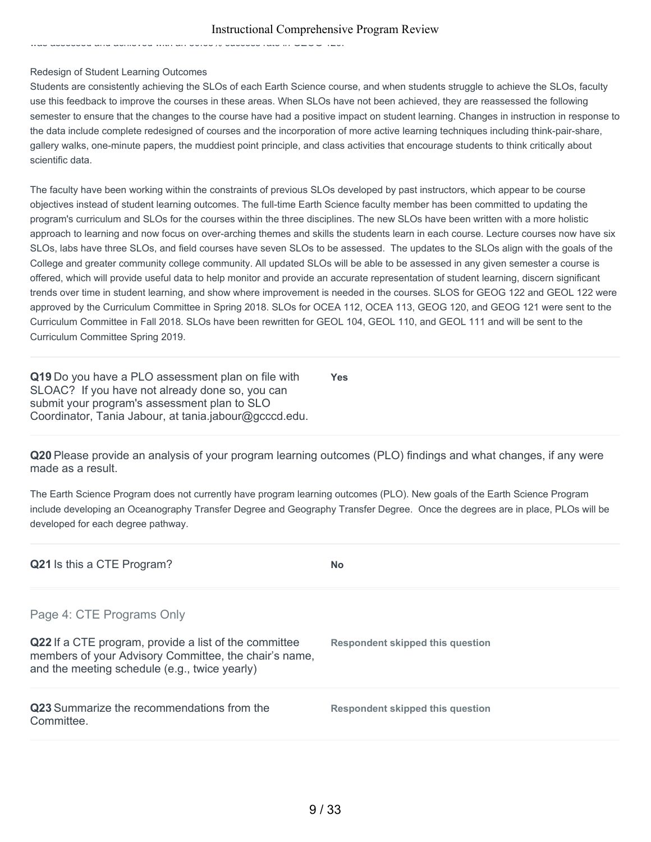was assessed and active and active in Society rate in Geographe in Geographe in Geographe in Geographe in Geog

#### Redesign of Student Learning Outcomes

Students are consistently achieving the SLOs of each Earth Science course, and when students struggle to achieve the SLOs, faculty use this feedback to improve the courses in these areas. When SLOs have not been achieved, they are reassessed the following semester to ensure that the changes to the course have had a positive impact on student learning. Changes in instruction in response to the data include complete redesigned of courses and the incorporation of more active learning techniques including think-pair-share, gallery walks, one-minute papers, the muddiest point principle, and class activities that encourage students to think critically about scientific data.

The faculty have been working within the constraints of previous SLOs developed by past instructors, which appear to be course objectives instead of student learning outcomes. The full-time Earth Science faculty member has been committed to updating the program's curriculum and SLOs for the courses within the three disciplines. The new SLOs have been written with a more holistic approach to learning and now focus on over-arching themes and skills the students learn in each course. Lecture courses now have six SLOs, labs have three SLOs, and field courses have seven SLOs to be assessed. The updates to the SLOs align with the goals of the College and greater community college community. All updated SLOs will be able to be assessed in any given semester a course is offered, which will provide useful data to help monitor and provide an accurate representation of student learning, discern significant trends over time in student learning, and show where improvement is needed in the courses. SLOS for GEOG 122 and GEOL 122 were approved by the Curriculum Committee in Spring 2018. SLOs for OCEA 112, OCEA 113, GEOG 120, and GEOG 121 were sent to the Curriculum Committee in Fall 2018. SLOs have been rewritten for GEOL 104, GEOL 110, and GEOL 111 and will be sent to the Curriculum Committee Spring 2019.

**Q19** Do you have a PLO assessment plan on file with SLOAC? If you have not already done so, you can submit your program's assessment plan to SLO Coordinator, Tania Jabour, at tania.jabour@gcccd.edu. **Yes**

**Q20** Please provide an analysis of your program learning outcomes (PLO) findings and what changes, if any were made as a result.

The Earth Science Program does not currently have program learning outcomes (PLO). New goals of the Earth Science Program include developing an Oceanography Transfer Degree and Geography Transfer Degree. Once the degrees are in place, PLOs will be developed for each degree pathway.

| Q21 Is this a CTE Program?                                                                                                                                      | <b>No</b>                        |
|-----------------------------------------------------------------------------------------------------------------------------------------------------------------|----------------------------------|
| Page 4: CTE Programs Only                                                                                                                                       |                                  |
| Q22 If a CTE program, provide a list of the committee<br>members of your Advisory Committee, the chair's name,<br>and the meeting schedule (e.g., twice yearly) | Respondent skipped this question |
| Q23 Summarize the recommendations from the<br>Committee.                                                                                                        | Respondent skipped this question |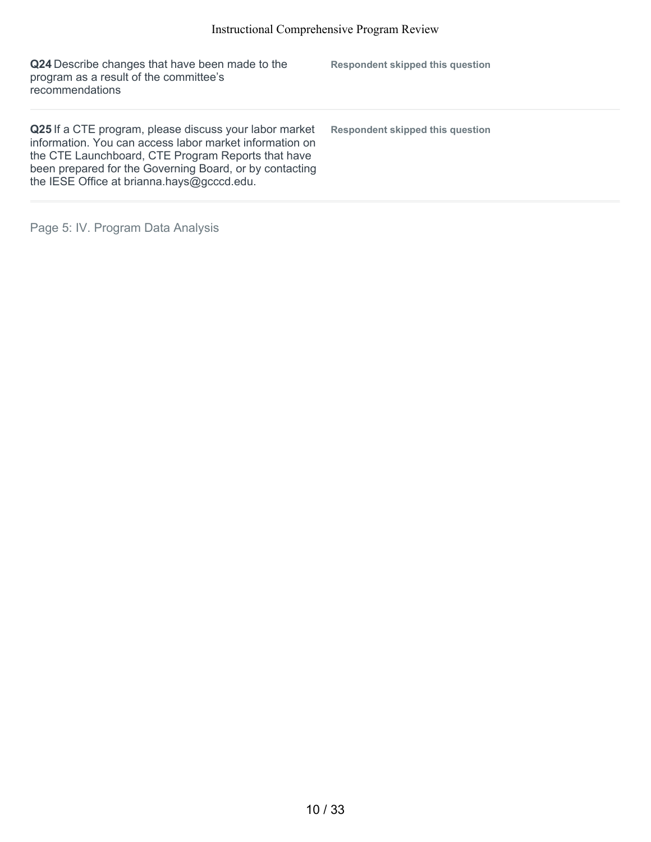| Q24 Describe changes that have been made to the<br>program as a result of the committee's<br>recommendations                                                                                                                                                                     | Respondent skipped this question |
|----------------------------------------------------------------------------------------------------------------------------------------------------------------------------------------------------------------------------------------------------------------------------------|----------------------------------|
| Q25 If a CTE program, please discuss your labor market<br>information. You can access labor market information on<br>the CTE Launchboard, CTE Program Reports that have<br>been prepared for the Governing Board, or by contacting<br>the IESE Office at brianna.hays@gcccd.edu. | Respondent skipped this question |

Page 5: IV. Program Data Analysis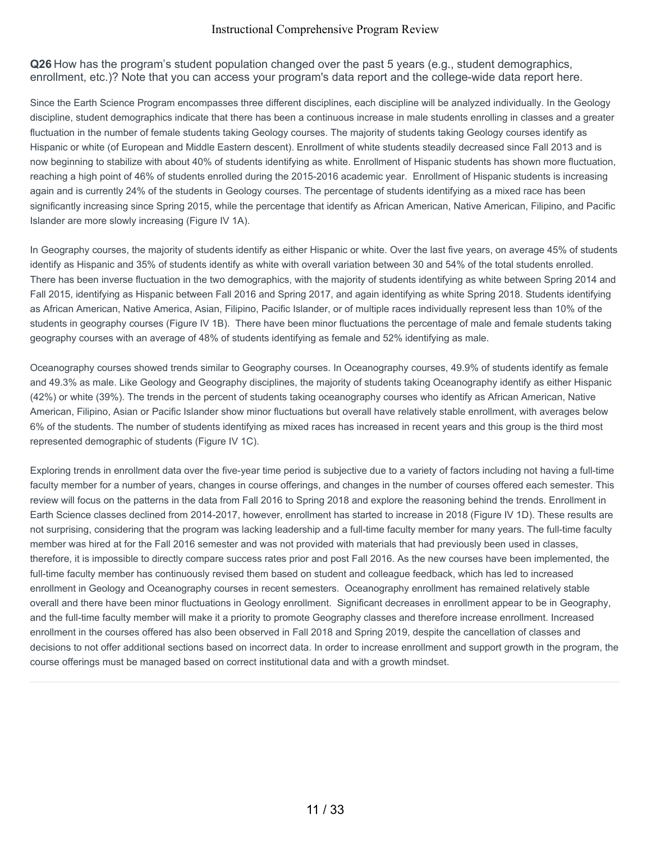**Q26** How has the program's student population changed over the past 5 years (e.g., student demographics, enrollment, etc.)? Note that you can access your program's data report and the college-wide data report here.

Since the Earth Science Program encompasses three different disciplines, each discipline will be analyzed individually. In the Geology discipline, student demographics indicate that there has been a continuous increase in male students enrolling in classes and a greater fluctuation in the number of female students taking Geology courses. The majority of students taking Geology courses identify as Hispanic or white (of European and Middle Eastern descent). Enrollment of white students steadily decreased since Fall 2013 and is now beginning to stabilize with about 40% of students identifying as white. Enrollment of Hispanic students has shown more fluctuation, reaching a high point of 46% of students enrolled during the 2015-2016 academic year. Enrollment of Hispanic students is increasing again and is currently 24% of the students in Geology courses. The percentage of students identifying as a mixed race has been significantly increasing since Spring 2015, while the percentage that identify as African American, Native American, Filipino, and Pacific Islander are more slowly increasing (Figure IV 1A).

In Geography courses, the majority of students identify as either Hispanic or white. Over the last five years, on average 45% of students identify as Hispanic and 35% of students identify as white with overall variation between 30 and 54% of the total students enrolled. There has been inverse fluctuation in the two demographics, with the majority of students identifying as white between Spring 2014 and Fall 2015, identifying as Hispanic between Fall 2016 and Spring 2017, and again identifying as white Spring 2018. Students identifying as African American, Native America, Asian, Filipino, Pacific Islander, or of multiple races individually represent less than 10% of the students in geography courses (Figure IV 1B). There have been minor fluctuations the percentage of male and female students taking geography courses with an average of 48% of students identifying as female and 52% identifying as male.

Oceanography courses showed trends similar to Geography courses. In Oceanography courses, 49.9% of students identify as female and 49.3% as male. Like Geology and Geography disciplines, the majority of students taking Oceanography identify as either Hispanic (42%) or white (39%). The trends in the percent of students taking oceanography courses who identify as African American, Native American, Filipino, Asian or Pacific Islander show minor fluctuations but overall have relatively stable enrollment, with averages below 6% of the students. The number of students identifying as mixed races has increased in recent years and this group is the third most represented demographic of students (Figure IV 1C).

Exploring trends in enrollment data over the five-year time period is subjective due to a variety of factors including not having a full-time faculty member for a number of years, changes in course offerings, and changes in the number of courses offered each semester. This review will focus on the patterns in the data from Fall 2016 to Spring 2018 and explore the reasoning behind the trends. Enrollment in Earth Science classes declined from 2014-2017, however, enrollment has started to increase in 2018 (Figure IV 1D). These results are not surprising, considering that the program was lacking leadership and a full-time faculty member for many years. The full-time faculty member was hired at for the Fall 2016 semester and was not provided with materials that had previously been used in classes, therefore, it is impossible to directly compare success rates prior and post Fall 2016. As the new courses have been implemented, the full-time faculty member has continuously revised them based on student and colleague feedback, which has led to increased enrollment in Geology and Oceanography courses in recent semesters. Oceanography enrollment has remained relatively stable overall and there have been minor fluctuations in Geology enrollment. Significant decreases in enrollment appear to be in Geography, and the full-time faculty member will make it a priority to promote Geography classes and therefore increase enrollment. Increased enrollment in the courses offered has also been observed in Fall 2018 and Spring 2019, despite the cancellation of classes and decisions to not offer additional sections based on incorrect data. In order to increase enrollment and support growth in the program, the course offerings must be managed based on correct institutional data and with a growth mindset.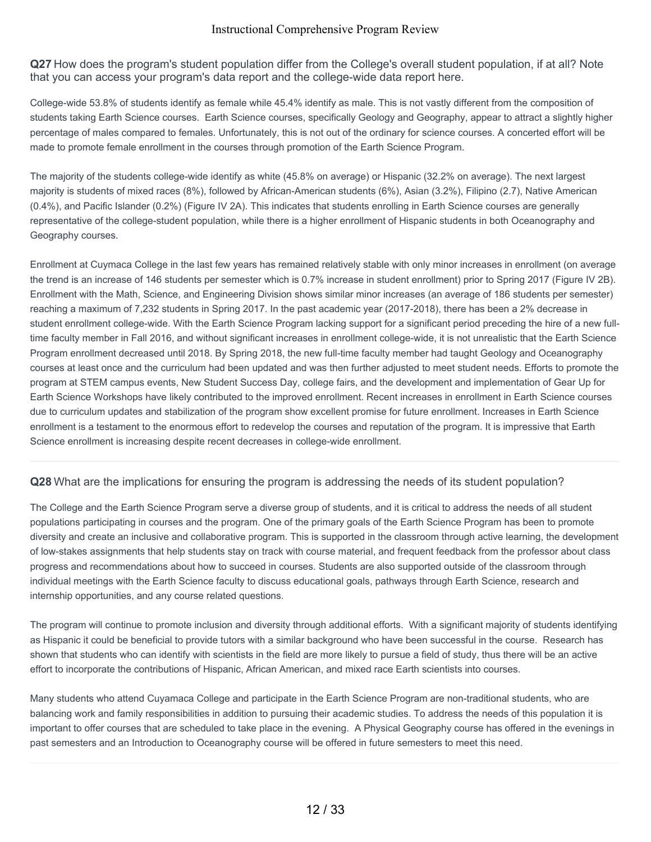**Q27** How does the program's student population differ from the College's overall student population, if at all? Note that you can access your program's data report and the college-wide data report here.

College-wide 53.8% of students identify as female while 45.4% identify as male. This is not vastly different from the composition of students taking Earth Science courses. Earth Science courses, specifically Geology and Geography, appear to attract a slightly higher percentage of males compared to females. Unfortunately, this is not out of the ordinary for science courses. A concerted effort will be made to promote female enrollment in the courses through promotion of the Earth Science Program.

The majority of the students college-wide identify as white (45.8% on average) or Hispanic (32.2% on average). The next largest majority is students of mixed races (8%), followed by African-American students (6%), Asian (3.2%), Filipino (2.7), Native American (0.4%), and Pacific Islander (0.2%) (Figure IV 2A). This indicates that students enrolling in Earth Science courses are generally representative of the college-student population, while there is a higher enrollment of Hispanic students in both Oceanography and Geography courses.

Enrollment at Cuymaca College in the last few years has remained relatively stable with only minor increases in enrollment (on average the trend is an increase of 146 students per semester which is 0.7% increase in student enrollment) prior to Spring 2017 (Figure IV 2B). Enrollment with the Math, Science, and Engineering Division shows similar minor increases (an average of 186 students per semester) reaching a maximum of 7,232 students in Spring 2017. In the past academic year (2017-2018), there has been a 2% decrease in student enrollment college-wide. With the Earth Science Program lacking support for a significant period preceding the hire of a new fulltime faculty member in Fall 2016, and without significant increases in enrollment college-wide, it is not unrealistic that the Earth Science Program enrollment decreased until 2018. By Spring 2018, the new full-time faculty member had taught Geology and Oceanography courses at least once and the curriculum had been updated and was then further adjusted to meet student needs. Efforts to promote the program at STEM campus events, New Student Success Day, college fairs, and the development and implementation of Gear Up for Earth Science Workshops have likely contributed to the improved enrollment. Recent increases in enrollment in Earth Science courses due to curriculum updates and stabilization of the program show excellent promise for future enrollment. Increases in Earth Science enrollment is a testament to the enormous effort to redevelop the courses and reputation of the program. It is impressive that Earth Science enrollment is increasing despite recent decreases in college-wide enrollment.

#### **Q28** What are the implications for ensuring the program is addressing the needs of its student population?

The College and the Earth Science Program serve a diverse group of students, and it is critical to address the needs of all student populations participating in courses and the program. One of the primary goals of the Earth Science Program has been to promote diversity and create an inclusive and collaborative program. This is supported in the classroom through active learning, the development of low-stakes assignments that help students stay on track with course material, and frequent feedback from the professor about class progress and recommendations about how to succeed in courses. Students are also supported outside of the classroom through individual meetings with the Earth Science faculty to discuss educational goals, pathways through Earth Science, research and internship opportunities, and any course related questions.

The program will continue to promote inclusion and diversity through additional efforts. With a significant majority of students identifying as Hispanic it could be beneficial to provide tutors with a similar background who have been successful in the course. Research has shown that students who can identify with scientists in the field are more likely to pursue a field of study, thus there will be an active effort to incorporate the contributions of Hispanic, African American, and mixed race Earth scientists into courses.

Many students who attend Cuyamaca College and participate in the Earth Science Program are non-traditional students, who are balancing work and family responsibilities in addition to pursuing their academic studies. To address the needs of this population it is important to offer courses that are scheduled to take place in the evening. A Physical Geography course has offered in the evenings in past semesters and an Introduction to Oceanography course will be offered in future semesters to meet this need.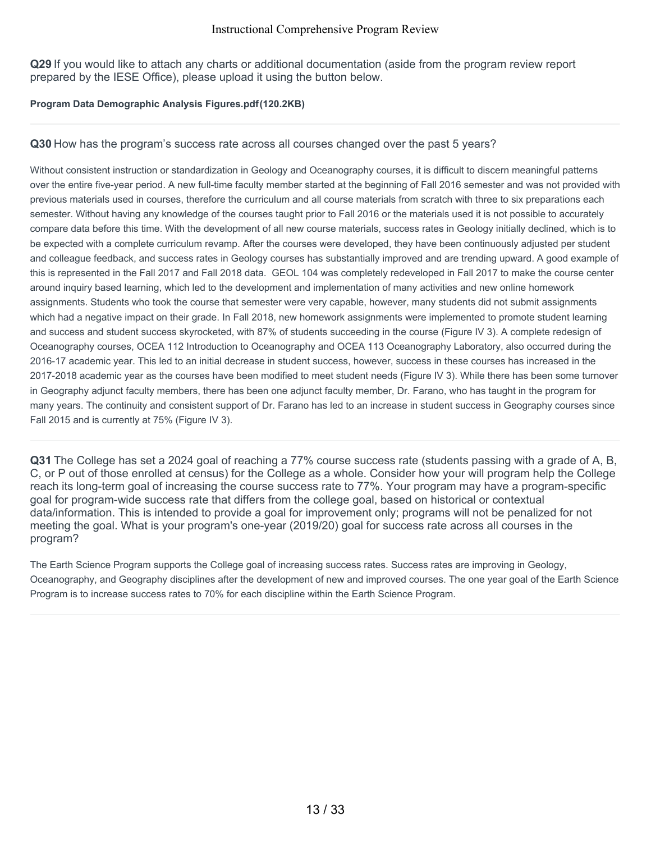**Q29** If you would like to attach any charts or additional documentation (aside from the program review report prepared by the IESE Office), please upload it using the button below.

#### **Program Data Demographic Analysis Figures.pdf(120.2KB)**

## **Q30** How has the program's success rate across all courses changed over the past 5 years?

Without consistent instruction or standardization in Geology and Oceanography courses, it is difficult to discern meaningful patterns over the entire five-year period. A new full-time faculty member started at the beginning of Fall 2016 semester and was not provided with previous materials used in courses, therefore the curriculum and all course materials from scratch with three to six preparations each semester. Without having any knowledge of the courses taught prior to Fall 2016 or the materials used it is not possible to accurately compare data before this time. With the development of all new course materials, success rates in Geology initially declined, which is to be expected with a complete curriculum revamp. After the courses were developed, they have been continuously adjusted per student and colleague feedback, and success rates in Geology courses has substantially improved and are trending upward. A good example of this is represented in the Fall 2017 and Fall 2018 data. GEOL 104 was completely redeveloped in Fall 2017 to make the course center around inquiry based learning, which led to the development and implementation of many activities and new online homework assignments. Students who took the course that semester were very capable, however, many students did not submit assignments which had a negative impact on their grade. In Fall 2018, new homework assignments were implemented to promote student learning and success and student success skyrocketed, with 87% of students succeeding in the course (Figure IV 3). A complete redesign of Oceanography courses, OCEA 112 Introduction to Oceanography and OCEA 113 Oceanography Laboratory, also occurred during the 2016-17 academic year. This led to an initial decrease in student success, however, success in these courses has increased in the 2017-2018 academic year as the courses have been modified to meet student needs (Figure IV 3). While there has been some turnover in Geography adjunct faculty members, there has been one adjunct faculty member, Dr. Farano, who has taught in the program for many years. The continuity and consistent support of Dr. Farano has led to an increase in student success in Geography courses since Fall 2015 and is currently at 75% (Figure IV 3).

**Q31** The College has set a 2024 goal of reaching a 77% course success rate (students passing with a grade of A, B, C, or P out of those enrolled at census) for the College as a whole. Consider how your will program help the College reach its long-term goal of increasing the course success rate to 77%. Your program may have a program-specific goal for program-wide success rate that differs from the college goal, based on historical or contextual data/information. This is intended to provide a goal for improvement only; programs will not be penalized for not meeting the goal. What is your program's one-year (2019/20) goal for success rate across all courses in the program?

The Earth Science Program supports the College goal of increasing success rates. Success rates are improving in Geology, Oceanography, and Geography disciplines after the development of new and improved courses. The one year goal of the Earth Science Program is to increase success rates to 70% for each discipline within the Earth Science Program.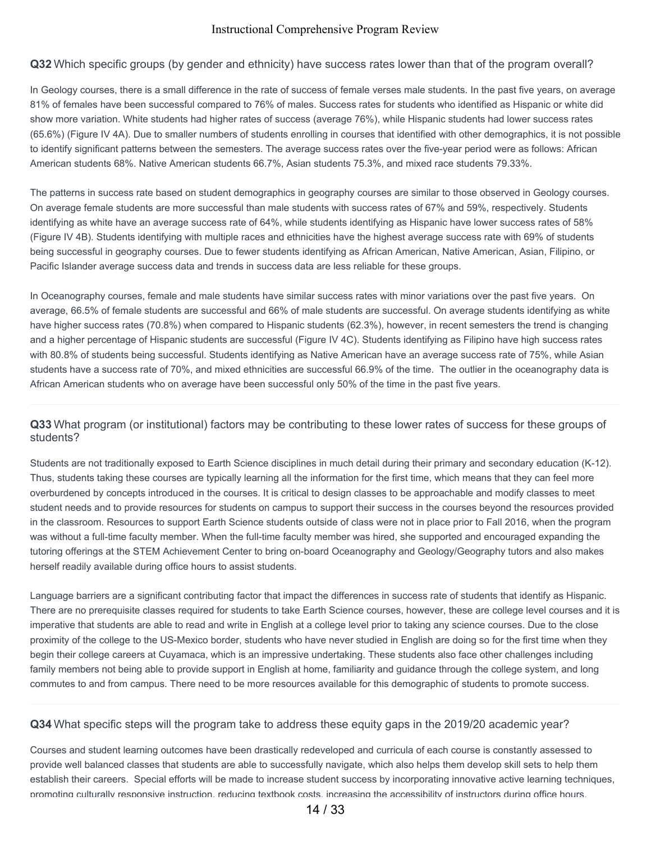#### **Q32** Which specific groups (by gender and ethnicity) have success rates lower than that of the program overall?

In Geology courses, there is a small difference in the rate of success of female verses male students. In the past five years, on average 81% of females have been successful compared to 76% of males. Success rates for students who identified as Hispanic or white did show more variation. White students had higher rates of success (average 76%), while Hispanic students had lower success rates (65.6%) (Figure IV 4A). Due to smaller numbers of students enrolling in courses that identified with other demographics, it is not possible to identify significant patterns between the semesters. The average success rates over the five-year period were as follows: African American students 68%. Native American students 66.7%, Asian students 75.3%, and mixed race students 79.33%.

The patterns in success rate based on student demographics in geography courses are similar to those observed in Geology courses. On average female students are more successful than male students with success rates of 67% and 59%, respectively. Students identifying as white have an average success rate of 64%, while students identifying as Hispanic have lower success rates of 58% (Figure IV 4B). Students identifying with multiple races and ethnicities have the highest average success rate with 69% of students being successful in geography courses. Due to fewer students identifying as African American, Native American, Asian, Filipino, or Pacific Islander average success data and trends in success data are less reliable for these groups.

In Oceanography courses, female and male students have similar success rates with minor variations over the past five years. On average, 66.5% of female students are successful and 66% of male students are successful. On average students identifying as white have higher success rates (70.8%) when compared to Hispanic students (62.3%), however, in recent semesters the trend is changing and a higher percentage of Hispanic students are successful (Figure IV 4C). Students identifying as Filipino have high success rates with 80.8% of students being successful. Students identifying as Native American have an average success rate of 75%, while Asian students have a success rate of 70%, and mixed ethnicities are successful 66.9% of the time. The outlier in the oceanography data is African American students who on average have been successful only 50% of the time in the past five years.

## **Q33** What program (or institutional) factors may be contributing to these lower rates of success for these groups of students?

Students are not traditionally exposed to Earth Science disciplines in much detail during their primary and secondary education (K-12). Thus, students taking these courses are typically learning all the information for the first time, which means that they can feel more overburdened by concepts introduced in the courses. It is critical to design classes to be approachable and modify classes to meet student needs and to provide resources for students on campus to support their success in the courses beyond the resources provided in the classroom. Resources to support Earth Science students outside of class were not in place prior to Fall 2016, when the program was without a full-time faculty member. When the full-time faculty member was hired, she supported and encouraged expanding the tutoring offerings at the STEM Achievement Center to bring on-board Oceanography and Geology/Geography tutors and also makes herself readily available during office hours to assist students.

Language barriers are a significant contributing factor that impact the differences in success rate of students that identify as Hispanic. There are no prerequisite classes required for students to take Earth Science courses, however, these are college level courses and it is imperative that students are able to read and write in English at a college level prior to taking any science courses. Due to the close proximity of the college to the US-Mexico border, students who have never studied in English are doing so for the first time when they begin their college careers at Cuyamaca, which is an impressive undertaking. These students also face other challenges including family members not being able to provide support in English at home, familiarity and guidance through the college system, and long commutes to and from campus. There need to be more resources available for this demographic of students to promote success.

#### **Q34** What specific steps will the program take to address these equity gaps in the 2019/20 academic year?

Courses and student learning outcomes have been drastically redeveloped and curricula of each course is constantly assessed to provide well balanced classes that students are able to successfully navigate, which also helps them develop skill sets to help them establish their careers. Special efforts will be made to increase student success by incorporating innovative active learning techniques, promoting culturally responsive instruction, reducing textbook costs, increasing the accessibility of instructors during office hours,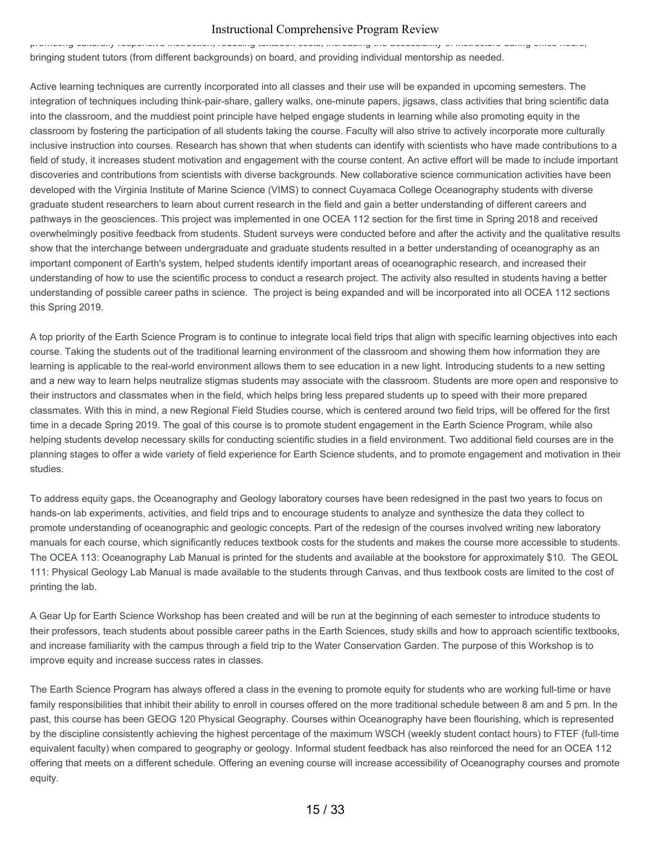promoting culturally responsive instruction, reducing textbook costs, increasing the accessibility of instructors during office hours, bringing student tutors (from different backgrounds) on board, and providing individual mentorship as needed.

Active learning techniques are currently incorporated into all classes and their use will be expanded in upcoming semesters. The integration of techniques including think-pair-share, gallery walks, one-minute papers, jigsaws, class activities that bring scientific data into the classroom, and the muddiest point principle have helped engage students in learning while also promoting equity in the classroom by fostering the participation of all students taking the course. Faculty will also strive to actively incorporate more culturally inclusive instruction into courses. Research has shown that when students can identify with scientists who have made contributions to a field of study, it increases student motivation and engagement with the course content. An active effort will be made to include important discoveries and contributions from scientists with diverse backgrounds. New collaborative science communication activities have been developed with the Virginia Institute of Marine Science (VIMS) to connect Cuyamaca College Oceanography students with diverse graduate student researchers to learn about current research in the field and gain a better understanding of different careers and pathways in the geosciences. This project was implemented in one OCEA 112 section for the first time in Spring 2018 and received overwhelmingly positive feedback from students. Student surveys were conducted before and after the activity and the qualitative results show that the interchange between undergraduate and graduate students resulted in a better understanding of oceanography as an important component of Earth's system, helped students identify important areas of oceanographic research, and increased their understanding of how to use the scientific process to conduct a research project. The activity also resulted in students having a better understanding of possible career paths in science. The project is being expanded and will be incorporated into all OCEA 112 sections this Spring 2019.

A top priority of the Earth Science Program is to continue to integrate local field trips that align with specific learning objectives into each course. Taking the students out of the traditional learning environment of the classroom and showing them how information they are learning is applicable to the real-world environment allows them to see education in a new light. Introducing students to a new setting and a new way to learn helps neutralize stigmas students may associate with the classroom. Students are more open and responsive to their instructors and classmates when in the field, which helps bring less prepared students up to speed with their more prepared classmates. With this in mind, a new Regional Field Studies course, which is centered around two field trips, will be offered for the first time in a decade Spring 2019. The goal of this course is to promote student engagement in the Earth Science Program, while also helping students develop necessary skills for conducting scientific studies in a field environment. Two additional field courses are in the planning stages to offer a wide variety of field experience for Earth Science students, and to promote engagement and motivation in their studies.

To address equity gaps, the Oceanography and Geology laboratory courses have been redesigned in the past two years to focus on hands-on lab experiments, activities, and field trips and to encourage students to analyze and synthesize the data they collect to promote understanding of oceanographic and geologic concepts. Part of the redesign of the courses involved writing new laboratory manuals for each course, which significantly reduces textbook costs for the students and makes the course more accessible to students. The OCEA 113: Oceanography Lab Manual is printed for the students and available at the bookstore for approximately \$10. The GEOL 111: Physical Geology Lab Manual is made available to the students through Canvas, and thus textbook costs are limited to the cost of printing the lab.

A Gear Up for Earth Science Workshop has been created and will be run at the beginning of each semester to introduce students to their professors, teach students about possible career paths in the Earth Sciences, study skills and how to approach scientific textbooks, and increase familiarity with the campus through a field trip to the Water Conservation Garden. The purpose of this Workshop is to improve equity and increase success rates in classes.

The Earth Science Program has always offered a class in the evening to promote equity for students who are working full-time or have family responsibilities that inhibit their ability to enroll in courses offered on the more traditional schedule between 8 am and 5 pm. In the past, this course has been GEOG 120 Physical Geography. Courses within Oceanography have been flourishing, which is represented by the discipline consistently achieving the highest percentage of the maximum WSCH (weekly student contact hours) to FTEF (full-time equivalent faculty) when compared to geography or geology. Informal student feedback has also reinforced the need for an OCEA 112 offering that meets on a different schedule. Offering an evening course will increase accessibility of Oceanography courses and promote equity.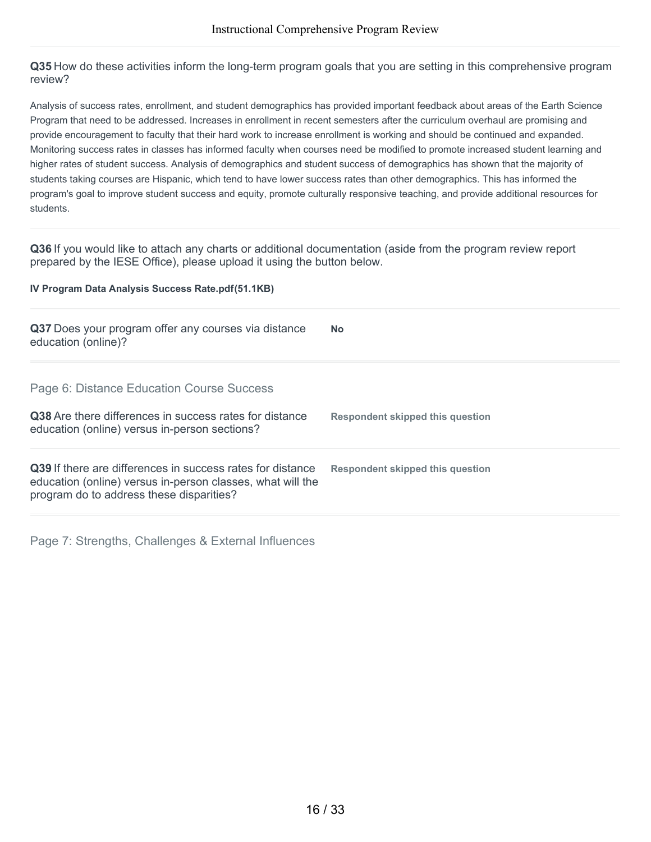**Q35** How do these activities inform the long-term program goals that you are setting in this comprehensive program review?

Analysis of success rates, enrollment, and student demographics has provided important feedback about areas of the Earth Science Program that need to be addressed. Increases in enrollment in recent semesters after the curriculum overhaul are promising and provide encouragement to faculty that their hard work to increase enrollment is working and should be continued and expanded. Monitoring success rates in classes has informed faculty when courses need be modified to promote increased student learning and higher rates of student success. Analysis of demographics and student success of demographics has shown that the majority of students taking courses are Hispanic, which tend to have lower success rates than other demographics. This has informed the program's goal to improve student success and equity, promote culturally responsive teaching, and provide additional resources for students.

**Q36** If you would like to attach any charts or additional documentation (aside from the program review report prepared by the IESE Office), please upload it using the button below.

#### **IV Program Data Analysis Success Rate.pdf(51.1KB)**

| Q37 Does your program offer any courses via distance<br>education (online)?                                                                                          | <b>No</b>                        |
|----------------------------------------------------------------------------------------------------------------------------------------------------------------------|----------------------------------|
| Page 6: Distance Education Course Success                                                                                                                            |                                  |
| <b>Q38</b> Are there differences in success rates for distance<br>education (online) versus in-person sections?                                                      | Respondent skipped this question |
| Q39 If there are differences in success rates for distance<br>education (online) versus in-person classes, what will the<br>program do to address these disparities? | Respondent skipped this question |

Page 7: Strengths, Challenges & External Influences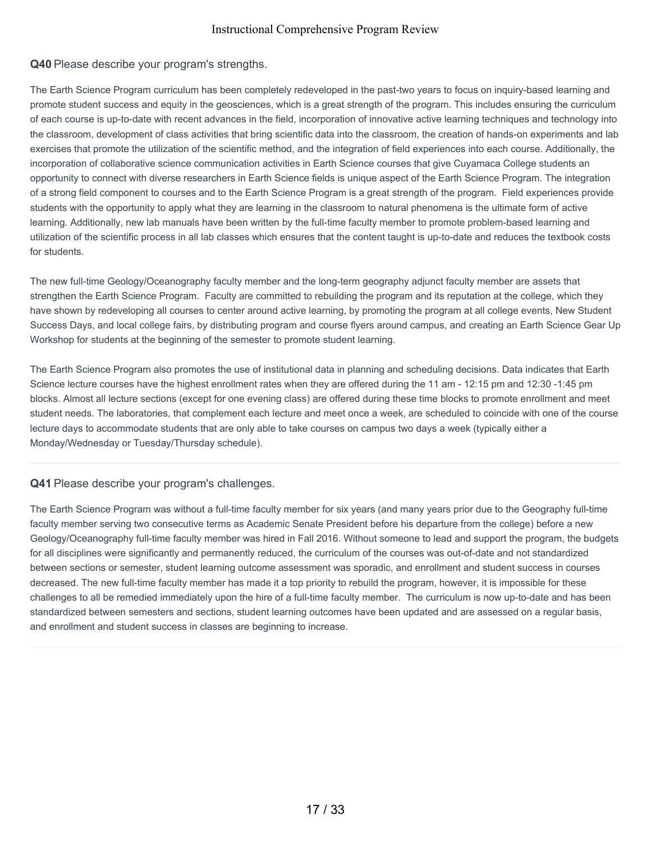## **Q40** Please describe your program's strengths.

The Earth Science Program curriculum has been completely redeveloped in the past-two years to focus on inquiry-based learning and promote student success and equity in the geosciences, which is a great strength of the program. This includes ensuring the curriculum of each course is up-to-date with recent advances in the field, incorporation of innovative active learning techniques and technology into the classroom, development of class activities that bring scientific data into the classroom, the creation of hands-on experiments and lab exercises that promote the utilization of the scientific method, and the integration of field experiences into each course. Additionally, the incorporation of collaborative science communication activities in Earth Science courses that give Cuyamaca College students an opportunity to connect with diverse researchers in Earth Science fields is unique aspect of the Earth Science Program. The integration of a strong field component to courses and to the Earth Science Program is a great strength of the program. Field experiences provide students with the opportunity to apply what they are learning in the classroom to natural phenomena is the ultimate form of active learning. Additionally, new lab manuals have been written by the full-time faculty member to promote problem-based learning and utilization of the scientific process in all lab classes which ensures that the content taught is up-to-date and reduces the textbook costs for students.

The new full-time Geology/Oceanography faculty member and the long-term geography adjunct faculty member are assets that strengthen the Earth Science Program. Faculty are committed to rebuilding the program and its reputation at the college, which they have shown by redeveloping all courses to center around active learning, by promoting the program at all college events, New Student Success Days, and local college fairs, by distributing program and course flyers around campus, and creating an Earth Science Gear Up Workshop for students at the beginning of the semester to promote student learning.

The Earth Science Program also promotes the use of institutional data in planning and scheduling decisions. Data indicates that Earth Science lecture courses have the highest enrollment rates when they are offered during the 11 am - 12:15 pm and 12:30 -1:45 pm blocks. Almost all lecture sections (except for one evening class) are offered during these time blocks to promote enrollment and meet student needs. The laboratories, that complement each lecture and meet once a week, are scheduled to coincide with one of the course lecture days to accommodate students that are only able to take courses on campus two days a week (typically either a Monday/Wednesday or Tuesday/Thursday schedule).

**Q41** Please describe your program's challenges.

The Earth Science Program was without a full-time faculty member for six years (and many years prior due to the Geography full-time faculty member serving two consecutive terms as Academic Senate President before his departure from the college) before a new Geology/Oceanography full-time faculty member was hired in Fall 2016. Without someone to lead and support the program, the budgets for all disciplines were significantly and permanently reduced, the curriculum of the courses was out-of-date and not standardized between sections or semester, student learning outcome assessment was sporadic, and enrollment and student success in courses decreased. The new full-time faculty member has made it a top priority to rebuild the program, however, it is impossible for these challenges to all be remedied immediately upon the hire of a full-time faculty member. The curriculum is now up-to-date and has been standardized between semesters and sections, student learning outcomes have been updated and are assessed on a regular basis, and enrollment and student success in classes are beginning to increase.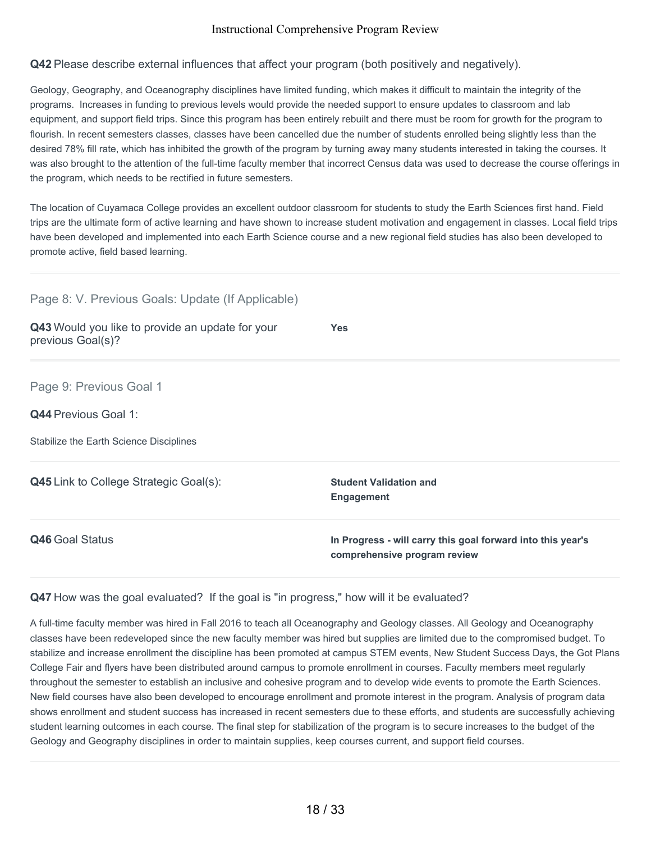## **Q42** Please describe external influences that affect your program (both positively and negatively).

Geology, Geography, and Oceanography disciplines have limited funding, which makes it difficult to maintain the integrity of the programs. Increases in funding to previous levels would provide the needed support to ensure updates to classroom and lab equipment, and support field trips. Since this program has been entirely rebuilt and there must be room for growth for the program to flourish. In recent semesters classes, classes have been cancelled due the number of students enrolled being slightly less than the desired 78% fill rate, which has inhibited the growth of the program by turning away many students interested in taking the courses. It was also brought to the attention of the full-time faculty member that incorrect Census data was used to decrease the course offerings in the program, which needs to be rectified in future semesters.

The location of Cuyamaca College provides an excellent outdoor classroom for students to study the Earth Sciences first hand. Field trips are the ultimate form of active learning and have shown to increase student motivation and engagement in classes. Local field trips have been developed and implemented into each Earth Science course and a new regional field studies has also been developed to promote active, field based learning.

| Page 8: V. Previous Goals: Update (If Applicable)                                          |                                                                                             |
|--------------------------------------------------------------------------------------------|---------------------------------------------------------------------------------------------|
| Q43 Would you like to provide an update for your<br>previous Goal(s)?                      | <b>Yes</b>                                                                                  |
| Page 9: Previous Goal 1<br>Q44 Previous Goal 1:<br>Stabilize the Earth Science Disciplines |                                                                                             |
| Q45 Link to College Strategic Goal(s):                                                     | <b>Student Validation and</b><br><b>Engagement</b>                                          |
| Q46 Goal Status                                                                            | In Progress - will carry this goal forward into this year's<br>comprehensive program review |

#### **Q47** How was the goal evaluated? If the goal is "in progress," how will it be evaluated?

A full-time faculty member was hired in Fall 2016 to teach all Oceanography and Geology classes. All Geology and Oceanography classes have been redeveloped since the new faculty member was hired but supplies are limited due to the compromised budget. To stabilize and increase enrollment the discipline has been promoted at campus STEM events, New Student Success Days, the Got Plans College Fair and flyers have been distributed around campus to promote enrollment in courses. Faculty members meet regularly throughout the semester to establish an inclusive and cohesive program and to develop wide events to promote the Earth Sciences. New field courses have also been developed to encourage enrollment and promote interest in the program. Analysis of program data shows enrollment and student success has increased in recent semesters due to these efforts, and students are successfully achieving student learning outcomes in each course. The final step for stabilization of the program is to secure increases to the budget of the Geology and Geography disciplines in order to maintain supplies, keep courses current, and support field courses.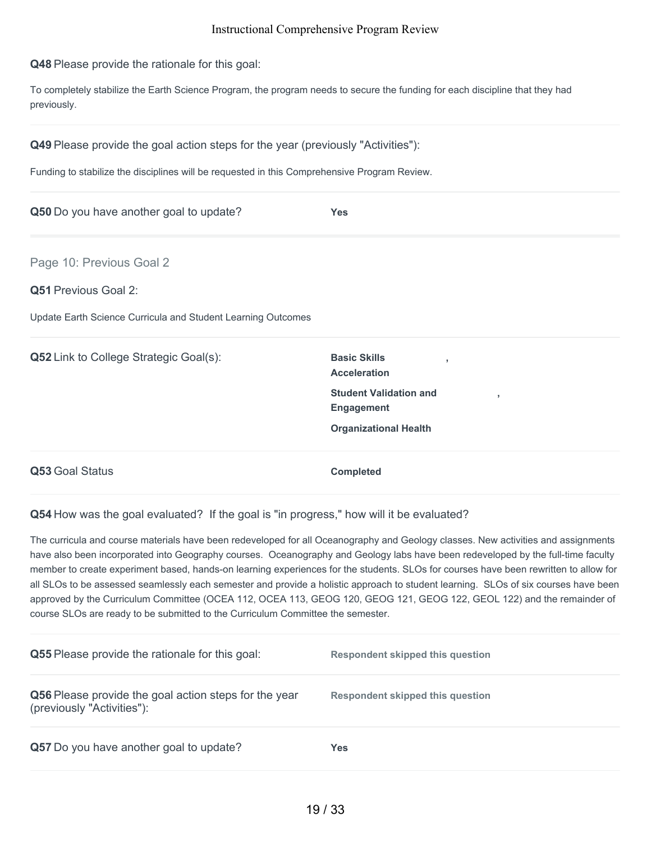**Q48** Please provide the rationale for this goal:

To completely stabilize the Earth Science Program, the program needs to secure the funding for each discipline that they had previously.

**Q49** Please provide the goal action steps for the year (previously "Activities"):

Funding to stabilize the disciplines will be requested in this Comprehensive Program Review.

| Q50 Do you have another goal to update?                                                                                 | <b>Yes</b>                                                                                 |
|-------------------------------------------------------------------------------------------------------------------------|--------------------------------------------------------------------------------------------|
| Page 10: Previous Goal 2<br><b>Q51 Previous Goal 2:</b><br>Update Earth Science Curricula and Student Learning Outcomes |                                                                                            |
| <b>Q52</b> Link to College Strategic Goal(s):                                                                           | <b>Basic Skills</b><br>$\mathbf{r}$<br><b>Acceleration</b>                                 |
|                                                                                                                         | <b>Student Validation and</b><br>$\,$<br><b>Engagement</b><br><b>Organizational Health</b> |
| Q53 Goal Status                                                                                                         | <b>Completed</b>                                                                           |

**Q54** How was the goal evaluated? If the goal is "in progress," how will it be evaluated?

The curricula and course materials have been redeveloped for all Oceanography and Geology classes. New activities and assignments have also been incorporated into Geography courses. Oceanography and Geology labs have been redeveloped by the full-time faculty member to create experiment based, hands-on learning experiences for the students. SLOs for courses have been rewritten to allow for all SLOs to be assessed seamlessly each semester and provide a holistic approach to student learning. SLOs of six courses have been approved by the Curriculum Committee (OCEA 112, OCEA 113, GEOG 120, GEOG 121, GEOG 122, GEOL 122) and the remainder of course SLOs are ready to be submitted to the Curriculum Committee the semester.

| <b>Q55</b> Please provide the rationale for this goal:                              | Respondent skipped this question |
|-------------------------------------------------------------------------------------|----------------------------------|
| Q56 Please provide the goal action steps for the year<br>(previously "Activities"): | Respondent skipped this question |
| Q57 Do you have another goal to update?                                             | Yes                              |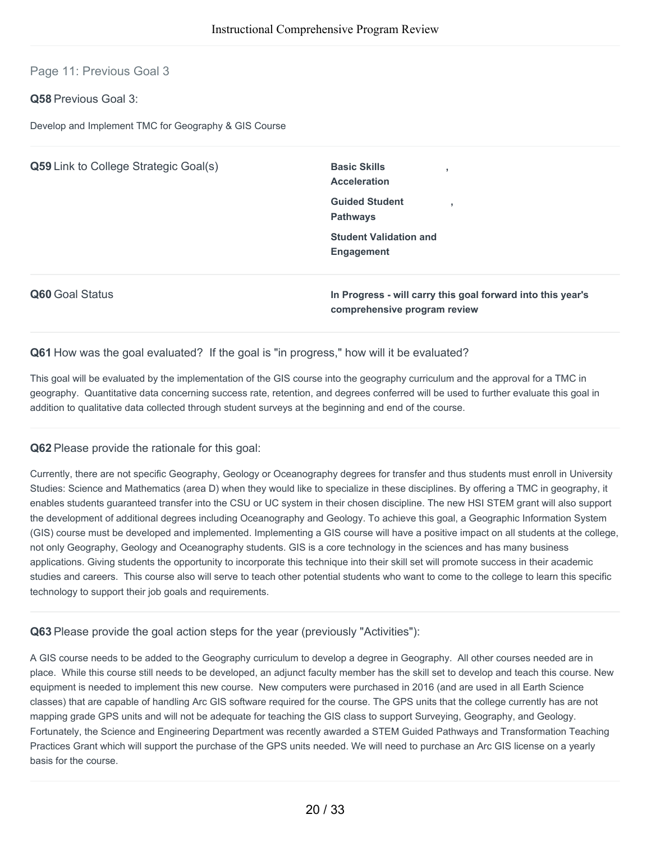## Page 11: Previous Goal 3

## **Q58** Previous Goal 3:

Develop and Implement TMC for Geography & GIS Course

| Q59 Link to College Strategic Goal(s) | <b>Basic Skills</b><br><b>Acceleration</b>                                                  |  |  |
|---------------------------------------|---------------------------------------------------------------------------------------------|--|--|
|                                       | <b>Guided Student</b><br>$\overline{\phantom{a}}$<br><b>Pathways</b>                        |  |  |
|                                       | <b>Student Validation and</b><br><b>Engagement</b>                                          |  |  |
| Q60 Goal Status                       | In Progress - will carry this goal forward into this year's<br>comprehensive program review |  |  |

#### **Q61** How was the goal evaluated? If the goal is "in progress," how will it be evaluated?

This goal will be evaluated by the implementation of the GIS course into the geography curriculum and the approval for a TMC in geography. Quantitative data concerning success rate, retention, and degrees conferred will be used to further evaluate this goal in addition to qualitative data collected through student surveys at the beginning and end of the course.

#### **Q62** Please provide the rationale for this goal:

Currently, there are not specific Geography, Geology or Oceanography degrees for transfer and thus students must enroll in University Studies: Science and Mathematics (area D) when they would like to specialize in these disciplines. By offering a TMC in geography, it enables students guaranteed transfer into the CSU or UC system in their chosen discipline. The new HSI STEM grant will also support the development of additional degrees including Oceanography and Geology. To achieve this goal, a Geographic Information System (GIS) course must be developed and implemented. Implementing a GIS course will have a positive impact on all students at the college, not only Geography, Geology and Oceanography students. GIS is a core technology in the sciences and has many business applications. Giving students the opportunity to incorporate this technique into their skill set will promote success in their academic studies and careers. This course also will serve to teach other potential students who want to come to the college to learn this specific technology to support their job goals and requirements.

#### **Q63** Please provide the goal action steps for the year (previously "Activities"):

A GIS course needs to be added to the Geography curriculum to develop a degree in Geography. All other courses needed are in place. While this course still needs to be developed, an adjunct faculty member has the skill set to develop and teach this course. New equipment is needed to implement this new course. New computers were purchased in 2016 (and are used in all Earth Science classes) that are capable of handling Arc GIS software required for the course. The GPS units that the college currently has are not mapping grade GPS units and will not be adequate for teaching the GIS class to support Surveying, Geography, and Geology. Fortunately, the Science and Engineering Department was recently awarded a STEM Guided Pathways and Transformation Teaching Practices Grant which will support the purchase of the GPS units needed. We will need to purchase an Arc GIS license on a yearly basis for the course.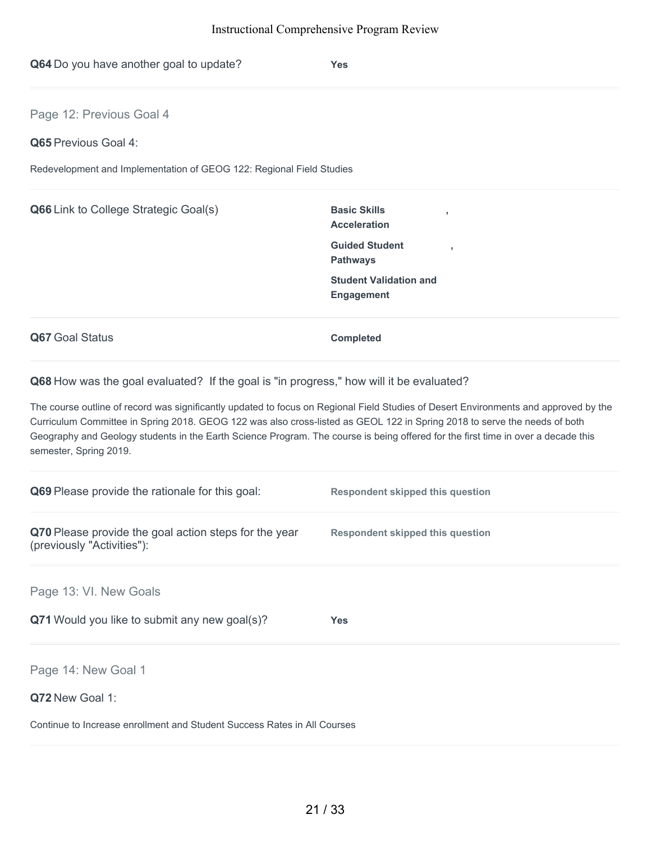| Q64 Do you have another goal to update?                              | <b>Yes</b>                                                   |  |
|----------------------------------------------------------------------|--------------------------------------------------------------|--|
| Page 12: Previous Goal 4                                             |                                                              |  |
| Q65 Previous Goal 4:                                                 |                                                              |  |
| Redevelopment and Implementation of GEOG 122: Regional Field Studies |                                                              |  |
| Q66 Link to College Strategic Goal(s)                                | <b>Basic Skills</b><br>$\overline{1}$<br><b>Acceleration</b> |  |
|                                                                      | <b>Guided Student</b><br><b>Pathways</b>                     |  |
|                                                                      | <b>Student Validation and</b><br><b>Engagement</b>           |  |
| Q67 Goal Status                                                      | <b>Completed</b>                                             |  |

**Q68** How was the goal evaluated? If the goal is "in progress," how will it be evaluated?

The course outline of record was significantly updated to focus on Regional Field Studies of Desert Environments and approved by the Curriculum Committee in Spring 2018. GEOG 122 was also cross-listed as GEOL 122 in Spring 2018 to serve the needs of both Geography and Geology students in the Earth Science Program. The course is being offered for the first time in over a decade this semester, Spring 2019.

| Q69 Please provide the rationale for this goal:                                     | <b>Respondent skipped this question</b> |
|-------------------------------------------------------------------------------------|-----------------------------------------|
| Q70 Please provide the goal action steps for the year<br>(previously "Activities"): | <b>Respondent skipped this question</b> |
| Page 13: VI. New Goals                                                              |                                         |
| Q71 Would you like to submit any new goal(s)?                                       | <b>Yes</b>                              |
| Page 14: New Goal 1                                                                 |                                         |
| Q72 New Goal 1:                                                                     |                                         |
| Continue to Increase enrollment and Student Success Rates in All Courses            |                                         |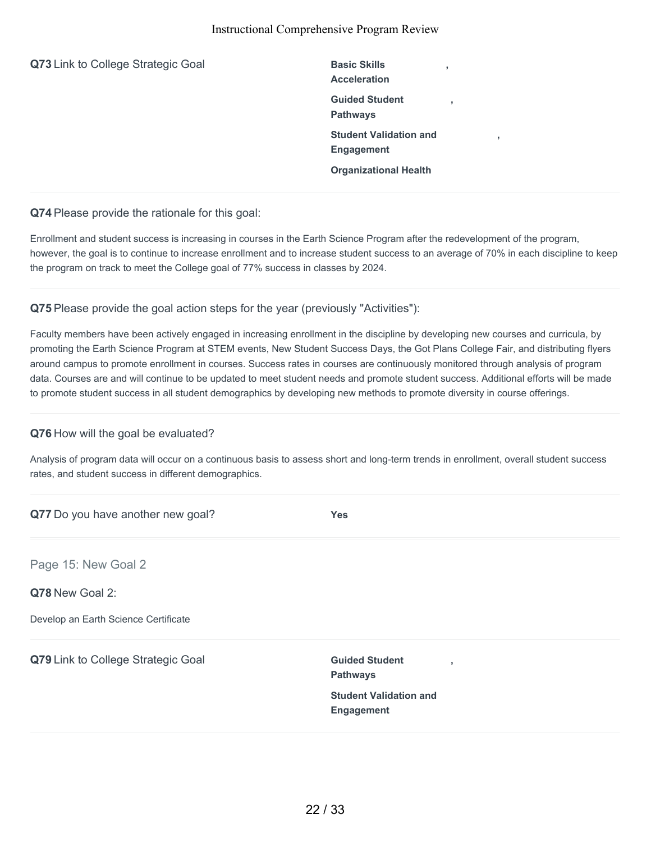**Q73** Link to College Strategic Goal **Basic Skills** 

**Acceleration Guided Student Pathways Student Validation and Engagement Organizational Health**

**,**

**,**

**,**

**Q74** Please provide the rationale for this goal:

Enrollment and student success is increasing in courses in the Earth Science Program after the redevelopment of the program, however, the goal is to continue to increase enrollment and to increase student success to an average of 70% in each discipline to keep the program on track to meet the College goal of 77% success in classes by 2024.

## **Q75** Please provide the goal action steps for the year (previously "Activities"):

Faculty members have been actively engaged in increasing enrollment in the discipline by developing new courses and curricula, by promoting the Earth Science Program at STEM events, New Student Success Days, the Got Plans College Fair, and distributing flyers around campus to promote enrollment in courses. Success rates in courses are continuously monitored through analysis of program data. Courses are and will continue to be updated to meet student needs and promote student success. Additional efforts will be made to promote student success in all student demographics by developing new methods to promote diversity in course offerings.

#### **Q76** How will the goal be evaluated?

Analysis of program data will occur on a continuous basis to assess short and long-term trends in enrollment, overall student success rates, and student success in different demographics.

| Q77 Do you have another new goal?    | <b>Yes</b>                                                 |
|--------------------------------------|------------------------------------------------------------|
| Page 15: New Goal 2                  |                                                            |
| Q78 New Goal 2:                      |                                                            |
| Develop an Earth Science Certificate |                                                            |
| Q79 Link to College Strategic Goal   | <b>Guided Student</b><br>$\overline{1}$<br><b>Pathways</b> |
|                                      | <b>Student Validation and</b><br>Engagement                |
|                                      |                                                            |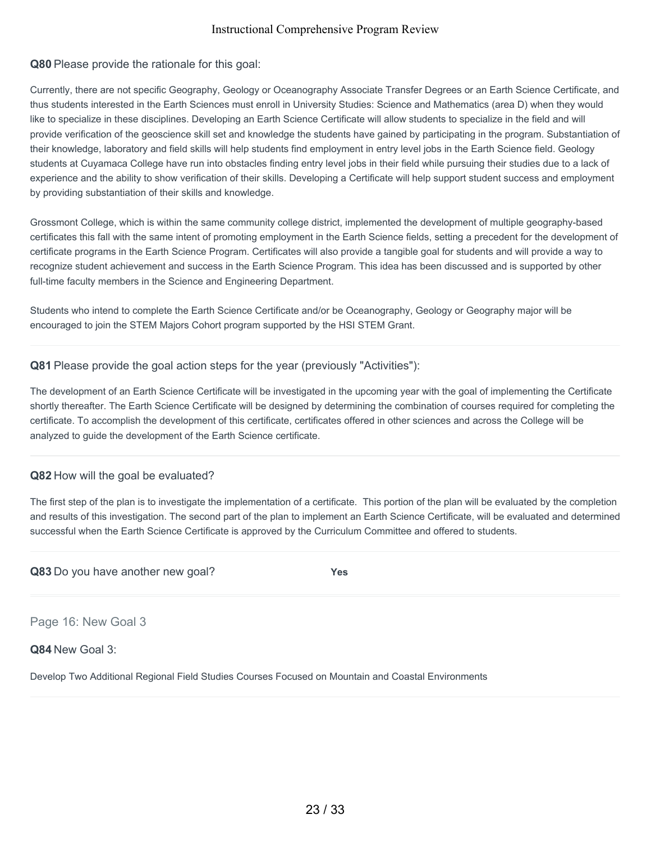## **Q80** Please provide the rationale for this goal:

Currently, there are not specific Geography, Geology or Oceanography Associate Transfer Degrees or an Earth Science Certificate, and thus students interested in the Earth Sciences must enroll in University Studies: Science and Mathematics (area D) when they would like to specialize in these disciplines. Developing an Earth Science Certificate will allow students to specialize in the field and will provide verification of the geoscience skill set and knowledge the students have gained by participating in the program. Substantiation of their knowledge, laboratory and field skills will help students find employment in entry level jobs in the Earth Science field. Geology students at Cuyamaca College have run into obstacles finding entry level jobs in their field while pursuing their studies due to a lack of experience and the ability to show verification of their skills. Developing a Certificate will help support student success and employment by providing substantiation of their skills and knowledge.

Grossmont College, which is within the same community college district, implemented the development of multiple geography-based certificates this fall with the same intent of promoting employment in the Earth Science fields, setting a precedent for the development of certificate programs in the Earth Science Program. Certificates will also provide a tangible goal for students and will provide a way to recognize student achievement and success in the Earth Science Program. This idea has been discussed and is supported by other full-time faculty members in the Science and Engineering Department.

Students who intend to complete the Earth Science Certificate and/or be Oceanography, Geology or Geography major will be encouraged to join the STEM Majors Cohort program supported by the HSI STEM Grant.

**Q81** Please provide the goal action steps for the year (previously "Activities"):

The development of an Earth Science Certificate will be investigated in the upcoming year with the goal of implementing the Certificate shortly thereafter. The Earth Science Certificate will be designed by determining the combination of courses required for completing the certificate. To accomplish the development of this certificate, certificates offered in other sciences and across the College will be analyzed to guide the development of the Earth Science certificate.

## **Q82** How will the goal be evaluated?

The first step of the plan is to investigate the implementation of a certificate. This portion of the plan will be evaluated by the completion and results of this investigation. The second part of the plan to implement an Earth Science Certificate, will be evaluated and determined successful when the Earth Science Certificate is approved by the Curriculum Committee and offered to students.

|  | Q83 Do you have another new goal? | <b>Yes</b> |
|--|-----------------------------------|------------|
|--|-----------------------------------|------------|

Page 16: New Goal 3

#### **Q84** New Goal 3:

Develop Two Additional Regional Field Studies Courses Focused on Mountain and Coastal Environments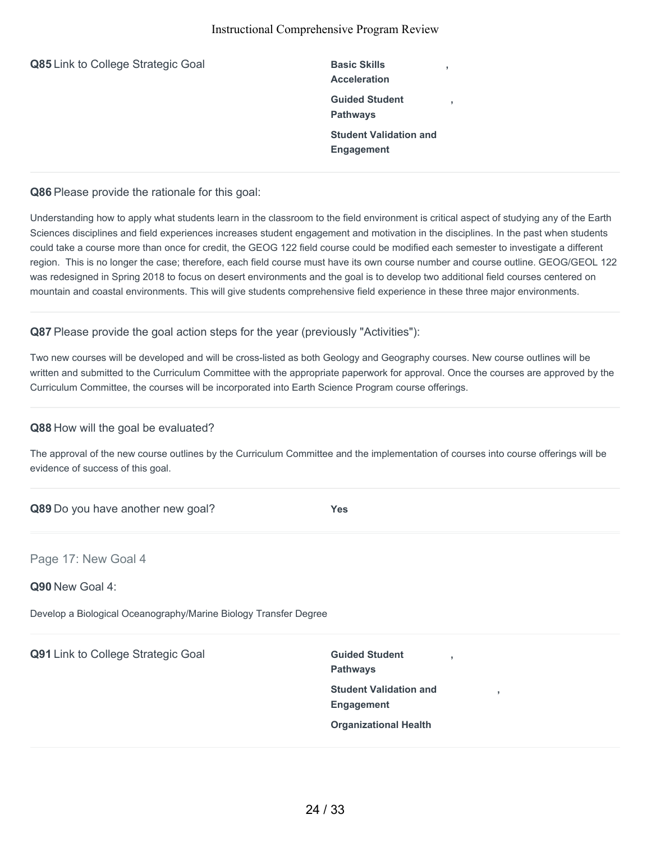| Q85 Link to College Strategic Goal | <b>Basic Skills</b><br><b>Acceleration</b>         |
|------------------------------------|----------------------------------------------------|
|                                    | <b>Guided Student</b><br><b>Pathways</b>           |
|                                    | <b>Student Validation and</b><br><b>Engagement</b> |

**Q86** Please provide the rationale for this goal:

Understanding how to apply what students learn in the classroom to the field environment is critical aspect of studying any of the Earth Sciences disciplines and field experiences increases student engagement and motivation in the disciplines. In the past when students could take a course more than once for credit, the GEOG 122 field course could be modified each semester to investigate a different region. This is no longer the case; therefore, each field course must have its own course number and course outline. GEOG/GEOL 122 was redesigned in Spring 2018 to focus on desert environments and the goal is to develop two additional field courses centered on mountain and coastal environments. This will give students comprehensive field experience in these three major environments.

**Q87** Please provide the goal action steps for the year (previously "Activities"):

Two new courses will be developed and will be cross-listed as both Geology and Geography courses. New course outlines will be written and submitted to the Curriculum Committee with the appropriate paperwork for approval. Once the courses are approved by the Curriculum Committee, the courses will be incorporated into Earth Science Program course offerings.

## **Q88** How will the goal be evaluated?

The approval of the new course outlines by the Curriculum Committee and the implementation of courses into course offerings will be evidence of success of this goal.

| Q89 Do you have another new goal?                                | <b>Yes</b>                                                 |
|------------------------------------------------------------------|------------------------------------------------------------|
| Page 17: New Goal 4                                              |                                                            |
| Q90 New Goal 4:                                                  |                                                            |
| Develop a Biological Oceanography/Marine Biology Transfer Degree |                                                            |
| Q91 Link to College Strategic Goal                               | <b>Guided Student</b><br>$\overline{1}$<br><b>Pathways</b> |
|                                                                  | <b>Student Validation and</b><br>,                         |

**Engagement**

**Organizational Health**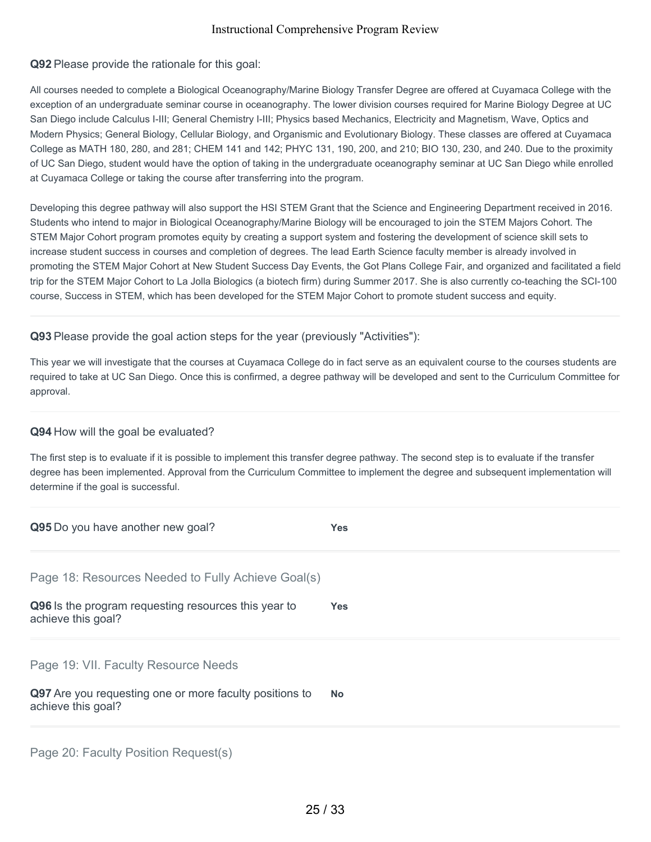**Q92** Please provide the rationale for this goal:

All courses needed to complete a Biological Oceanography/Marine Biology Transfer Degree are offered at Cuyamaca College with the exception of an undergraduate seminar course in oceanography. The lower division courses required for Marine Biology Degree at UC San Diego include Calculus I-III; General Chemistry I-III; Physics based Mechanics, Electricity and Magnetism, Wave, Optics and Modern Physics; General Biology, Cellular Biology, and Organismic and Evolutionary Biology. These classes are offered at Cuyamaca College as MATH 180, 280, and 281; CHEM 141 and 142; PHYC 131, 190, 200, and 210; BIO 130, 230, and 240. Due to the proximity of UC San Diego, student would have the option of taking in the undergraduate oceanography seminar at UC San Diego while enrolled at Cuyamaca College or taking the course after transferring into the program.

Developing this degree pathway will also support the HSI STEM Grant that the Science and Engineering Department received in 2016. Students who intend to major in Biological Oceanography/Marine Biology will be encouraged to join the STEM Majors Cohort. The STEM Major Cohort program promotes equity by creating a support system and fostering the development of science skill sets to increase student success in courses and completion of degrees. The lead Earth Science faculty member is already involved in promoting the STEM Major Cohort at New Student Success Day Events, the Got Plans College Fair, and organized and facilitated a field trip for the STEM Major Cohort to La Jolla Biologics (a biotech firm) during Summer 2017. She is also currently co-teaching the SCI-100 course, Success in STEM, which has been developed for the STEM Major Cohort to promote student success and equity.

**Q93** Please provide the goal action steps for the year (previously "Activities"):

This year we will investigate that the courses at Cuyamaca College do in fact serve as an equivalent course to the courses students are required to take at UC San Diego. Once this is confirmed, a degree pathway will be developed and sent to the Curriculum Committee for approval.

## **Q94** How will the goal be evaluated?

The first step is to evaluate if it is possible to implement this transfer degree pathway. The second step is to evaluate if the transfer degree has been implemented. Approval from the Curriculum Committee to implement the degree and subsequent implementation will determine if the goal is successful.

| Q95 Do you have another new goal?                                             | <b>Yes</b> |
|-------------------------------------------------------------------------------|------------|
| Page 18: Resources Needed to Fully Achieve Goal(s)                            |            |
| Q96 Is the program requesting resources this year to<br>achieve this goal?    | <b>Yes</b> |
| Page 19: VII. Faculty Resource Needs                                          |            |
| Q97 Are you requesting one or more faculty positions to<br>achieve this goal? | <b>No</b>  |
|                                                                               |            |

Page 20: Faculty Position Request(s)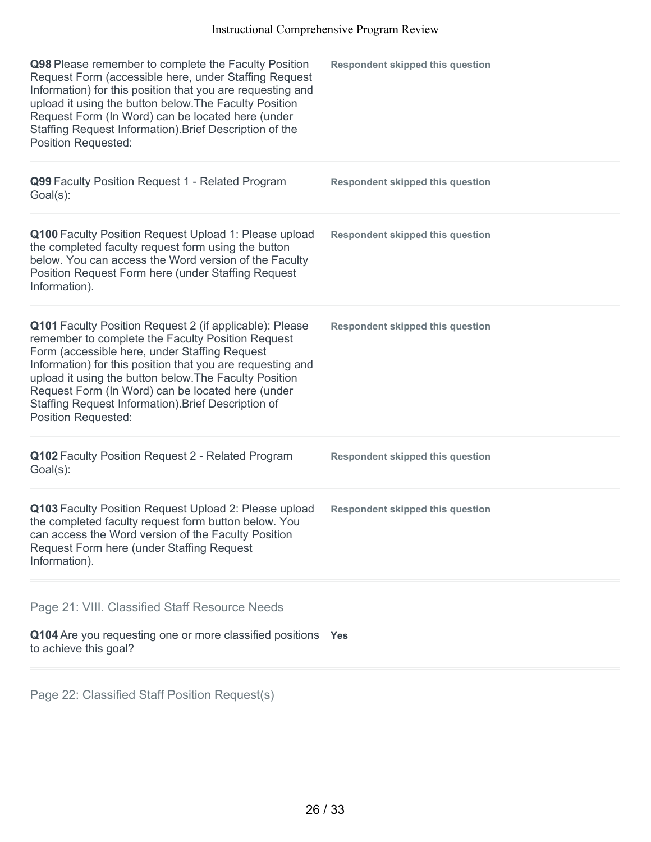| Q98 Please remember to complete the Faculty Position<br>Request Form (accessible here, under Staffing Request<br>Information) for this position that you are requesting and<br>upload it using the button below. The Faculty Position<br>Request Form (In Word) can be located here (under<br>Staffing Request Information). Brief Description of the<br><b>Position Requested:</b>                                             | <b>Respondent skipped this question</b> |
|---------------------------------------------------------------------------------------------------------------------------------------------------------------------------------------------------------------------------------------------------------------------------------------------------------------------------------------------------------------------------------------------------------------------------------|-----------------------------------------|
| Q99 Faculty Position Request 1 - Related Program<br>Goal(s):                                                                                                                                                                                                                                                                                                                                                                    | <b>Respondent skipped this question</b> |
| Q100 Faculty Position Request Upload 1: Please upload<br>the completed faculty request form using the button<br>below. You can access the Word version of the Faculty<br>Position Request Form here (under Staffing Request<br>Information).                                                                                                                                                                                    | <b>Respondent skipped this question</b> |
| Q101 Faculty Position Request 2 (if applicable): Please<br>remember to complete the Faculty Position Request<br>Form (accessible here, under Staffing Request<br>Information) for this position that you are requesting and<br>upload it using the button below. The Faculty Position<br>Request Form (In Word) can be located here (under<br>Staffing Request Information). Brief Description of<br><b>Position Requested:</b> | <b>Respondent skipped this question</b> |
| Q102 Faculty Position Request 2 - Related Program<br>Goal(s):                                                                                                                                                                                                                                                                                                                                                                   | <b>Respondent skipped this question</b> |
| Q103 Faculty Position Request Upload 2: Please upload<br>the completed faculty request form button below. You<br>can access the Word version of the Faculty Position<br>Request Form here (under Staffing Request<br>Information).                                                                                                                                                                                              | <b>Respondent skipped this question</b> |
| Page 21: VIII. Classified Staff Resource Needs<br>Q104 Are you requesting one or more classified positions Yes<br>to achieve this goal?                                                                                                                                                                                                                                                                                         |                                         |

Page 22: Classified Staff Position Request(s)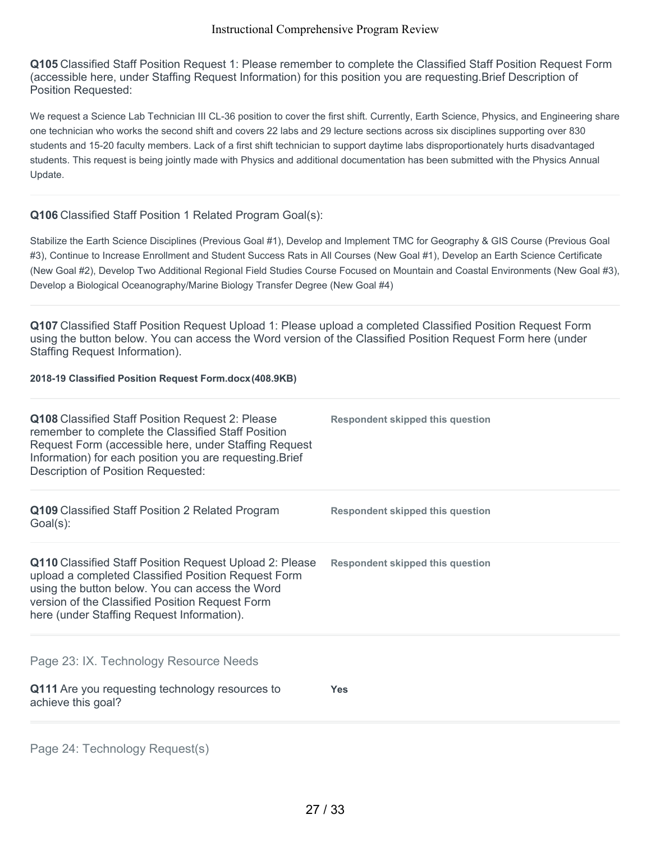**Q105** Classified Staff Position Request 1: Please remember to complete the Classified Staff Position Request Form (accessible here, under Staffing Request Information) for this position you are requesting.Brief Description of Position Requested:

We request a Science Lab Technician III CL-36 position to cover the first shift. Currently, Earth Science, Physics, and Engineering share one technician who works the second shift and covers 22 labs and 29 lecture sections across six disciplines supporting over 830 students and 15-20 faculty members. Lack of a first shift technician to support daytime labs disproportionately hurts disadvantaged students. This request is being jointly made with Physics and additional documentation has been submitted with the Physics Annual Update.

## **Q106** Classified Staff Position 1 Related Program Goal(s):

Stabilize the Earth Science Disciplines (Previous Goal #1), Develop and Implement TMC for Geography & GIS Course (Previous Goal #3), Continue to Increase Enrollment and Student Success Rats in All Courses (New Goal #1), Develop an Earth Science Certificate (New Goal #2), Develop Two Additional Regional Field Studies Course Focused on Mountain and Coastal Environments (New Goal #3), Develop a Biological Oceanography/Marine Biology Transfer Degree (New Goal #4)

**Q107** Classified Staff Position Request Upload 1: Please upload a completed Classified Position Request Form using the button below. You can access the Word version of the Classified Position Request Form here (under Staffing Request Information).

#### **2018-19 Classified Position Request Form.docx(408.9KB)**

| Q108 Classified Staff Position Request 2: Please<br>remember to complete the Classified Staff Position<br>Request Form (accessible here, under Staffing Request<br>Information) for each position you are requesting. Brief<br>Description of Position Requested:         | Respondent skipped this question        |
|---------------------------------------------------------------------------------------------------------------------------------------------------------------------------------------------------------------------------------------------------------------------------|-----------------------------------------|
| Q109 Classified Staff Position 2 Related Program<br>$Goal(s)$ :                                                                                                                                                                                                           | <b>Respondent skipped this question</b> |
| <b>Q110</b> Classified Staff Position Request Upload 2: Please<br>upload a completed Classified Position Request Form<br>using the button below. You can access the Word<br>version of the Classified Position Request Form<br>here (under Staffing Request Information). | Respondent skipped this question        |
| Page 23: IX. Technology Resource Needs                                                                                                                                                                                                                                    |                                         |
| Q111 Are you requesting technology resources to<br>achieve this goal?                                                                                                                                                                                                     | <b>Yes</b>                              |
|                                                                                                                                                                                                                                                                           |                                         |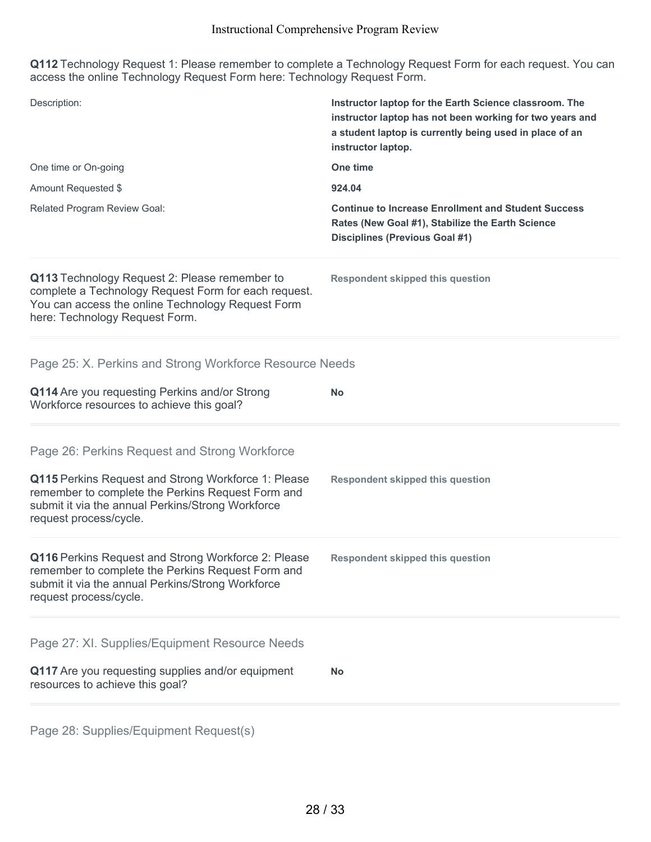**Q112** Technology Request 1: Please remember to complete a Technology Request Form for each request. You can access the online Technology Request Form here: Technology Request Form.

| Description:                                                                                                                                                                                 | Instructor laptop for the Earth Science classroom. The<br>instructor laptop has not been working for two years and<br>a student laptop is currently being used in place of an<br>instructor laptop. |
|----------------------------------------------------------------------------------------------------------------------------------------------------------------------------------------------|-----------------------------------------------------------------------------------------------------------------------------------------------------------------------------------------------------|
| One time or On-going                                                                                                                                                                         | One time                                                                                                                                                                                            |
| Amount Requested \$                                                                                                                                                                          | 924.04                                                                                                                                                                                              |
| Related Program Review Goal:                                                                                                                                                                 | <b>Continue to Increase Enrollment and Student Success</b><br>Rates (New Goal #1), Stabilize the Earth Science<br><b>Disciplines (Previous Goal #1)</b>                                             |
| Q113 Technology Request 2: Please remember to<br>complete a Technology Request Form for each request.<br>You can access the online Technology Request Form<br>here: Technology Request Form. | <b>Respondent skipped this question</b>                                                                                                                                                             |
| Page 25: X. Perkins and Strong Workforce Resource Needs                                                                                                                                      |                                                                                                                                                                                                     |
| Q114 Are you requesting Perkins and/or Strong<br>Workforce resources to achieve this goal?                                                                                                   | <b>No</b>                                                                                                                                                                                           |
| Page 26: Perkins Request and Strong Workforce                                                                                                                                                |                                                                                                                                                                                                     |
| Q115 Perkins Request and Strong Workforce 1: Please<br>remember to complete the Perkins Request Form and<br>submit it via the annual Perkins/Strong Workforce<br>request process/cycle.      | <b>Respondent skipped this question</b>                                                                                                                                                             |
| Q116 Perkins Request and Strong Workforce 2: Please<br>remember to complete the Perkins Request Form and<br>submit it via the annual Perkins/Strong Workforce<br>request process/cycle.      | <b>Respondent skipped this question</b>                                                                                                                                                             |
| Page 27: XI. Supplies/Equipment Resource Needs                                                                                                                                               |                                                                                                                                                                                                     |
| Q117 Are you requesting supplies and/or equipment<br>resources to achieve this goal?                                                                                                         | <b>No</b>                                                                                                                                                                                           |
|                                                                                                                                                                                              |                                                                                                                                                                                                     |

Page 28: Supplies/Equipment Request(s)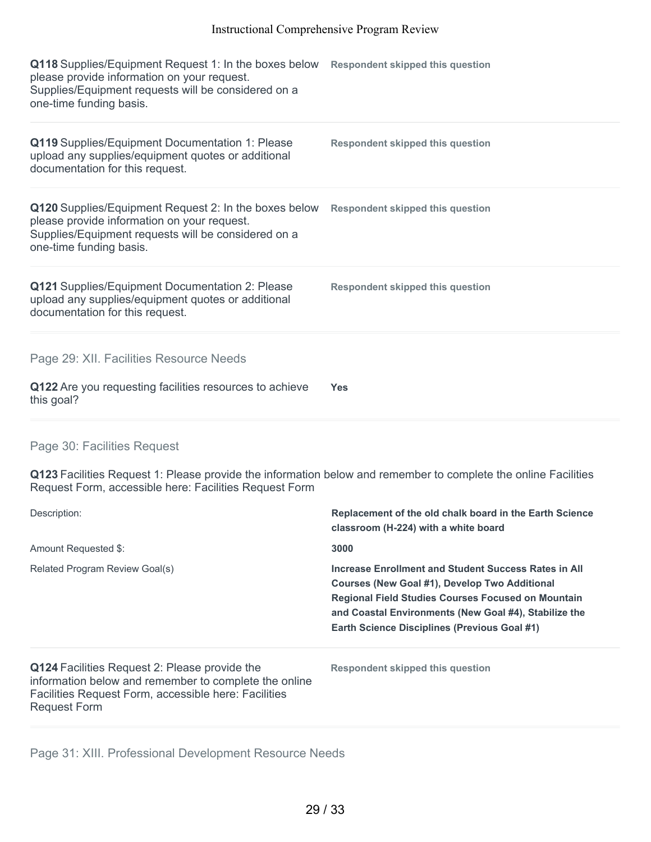| Q118 Supplies/Equipment Request 1: In the boxes below<br>please provide information on your request.<br>Supplies/Equipment requests will be considered on a<br>one-time funding basis. | <b>Respondent skipped this question</b> |
|----------------------------------------------------------------------------------------------------------------------------------------------------------------------------------------|-----------------------------------------|
| Q119 Supplies/Equipment Documentation 1: Please<br>upload any supplies/equipment quotes or additional<br>documentation for this request.                                               | <b>Respondent skipped this question</b> |
| Q120 Supplies/Equipment Request 2: In the boxes below<br>please provide information on your request.<br>Supplies/Equipment requests will be considered on a<br>one-time funding basis. | <b>Respondent skipped this question</b> |
| Q121 Supplies/Equipment Documentation 2: Please<br>upload any supplies/equipment quotes or additional<br>documentation for this request.                                               | <b>Respondent skipped this question</b> |
| Page 29: XII. Facilities Resource Needs<br>Q122 Are you requesting facilities resources to achieve<br>this goal?                                                                       | <b>Yes</b>                              |

## Page 30: Facilities Request

**Q123** Facilities Request 1: Please provide the information below and remember to complete the online Facilities Request Form, accessible here: Facilities Request Form

| Description:                                                                                                                                                                          | Replacement of the old chalk board in the Earth Science<br>classroom (H-224) with a white board                                                                                                                                                                                    |
|---------------------------------------------------------------------------------------------------------------------------------------------------------------------------------------|------------------------------------------------------------------------------------------------------------------------------------------------------------------------------------------------------------------------------------------------------------------------------------|
| Amount Requested \$:                                                                                                                                                                  | 3000                                                                                                                                                                                                                                                                               |
| Related Program Review Goal(s)                                                                                                                                                        | Increase Enrollment and Student Success Rates in All<br>Courses (New Goal #1), Develop Two Additional<br><b>Regional Field Studies Courses Focused on Mountain</b><br>and Coastal Environments (New Goal #4), Stabilize the<br><b>Earth Science Disciplines (Previous Goal #1)</b> |
| Q124 Facilities Request 2: Please provide the<br>information below and remember to complete the online<br>Facilities Request Form, accessible here: Facilities<br><b>Request Form</b> | Respondent skipped this question                                                                                                                                                                                                                                                   |

Page 31: XIII. Professional Development Resource Needs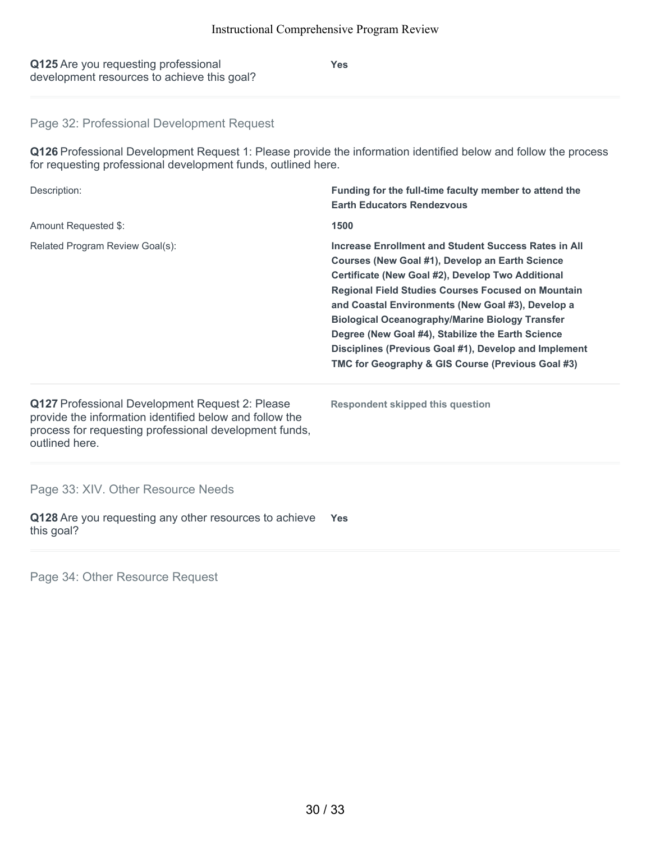| Q125 Are you requesting professional        |
|---------------------------------------------|
| development resources to achieve this goal? |

**Yes**

## Page 32: Professional Development Request

**Q126** Professional Development Request 1: Please provide the information identified below and follow the process for requesting professional development funds, outlined here.

| Description:                                                                                                                                                                           | Funding for the full-time faculty member to attend the<br><b>Earth Educators Rendezvous</b>                                                                                                                                                                                                                                                                                                                                                                                                                 |  |
|----------------------------------------------------------------------------------------------------------------------------------------------------------------------------------------|-------------------------------------------------------------------------------------------------------------------------------------------------------------------------------------------------------------------------------------------------------------------------------------------------------------------------------------------------------------------------------------------------------------------------------------------------------------------------------------------------------------|--|
| Amount Requested \$:                                                                                                                                                                   | 1500                                                                                                                                                                                                                                                                                                                                                                                                                                                                                                        |  |
| Related Program Review Goal(s):                                                                                                                                                        | Increase Enrollment and Student Success Rates in All<br>Courses (New Goal #1), Develop an Earth Science<br>Certificate (New Goal #2), Develop Two Additional<br><b>Regional Field Studies Courses Focused on Mountain</b><br>and Coastal Environments (New Goal #3), Develop a<br><b>Biological Oceanography/Marine Biology Transfer</b><br>Degree (New Goal #4), Stabilize the Earth Science<br>Disciplines (Previous Goal #1), Develop and Implement<br>TMC for Geography & GIS Course (Previous Goal #3) |  |
| Q127 Professional Development Request 2: Please<br>provide the information identified below and follow the<br>process for requesting professional development funds,<br>outlined here. | <b>Respondent skipped this question</b>                                                                                                                                                                                                                                                                                                                                                                                                                                                                     |  |
| Page 33: XIV. Other Resource Needs                                                                                                                                                     |                                                                                                                                                                                                                                                                                                                                                                                                                                                                                                             |  |
| $\bigcap$ 420 Are veu requesting any other resources to sobjeys $V_{\text{eq}}$                                                                                                        |                                                                                                                                                                                                                                                                                                                                                                                                                                                                                                             |  |

**Q128** Are you requesting any other resources to achieve this goal? **Yes**

Page 34: Other Resource Request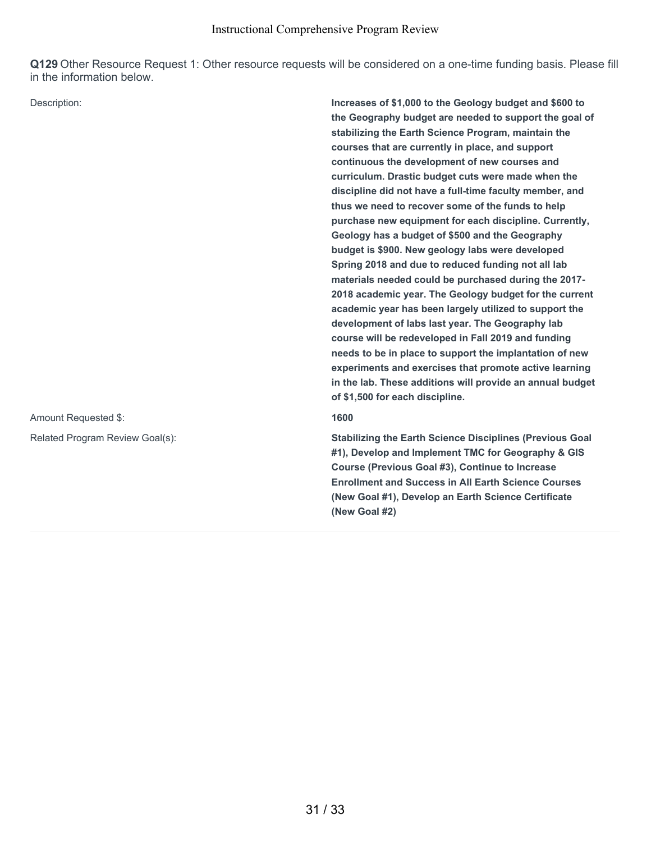**Q129** Other Resource Request 1: Other resource requests will be considered on a one-time funding basis. Please fill in the information below.

Amount Requested \$: **1600**

Description: **Increases of \$1,000 to the Geology budget and \$600 to the Geography budget are needed to support the goal of stabilizing the Earth Science Program, maintain the courses that are currently in place, and support continuous the development of new courses and curriculum. Drastic budget cuts were made when the discipline did not have a full-time faculty member, and thus we need to recover some of the funds to help purchase new equipment for each discipline. Currently, Geology has a budget of \$500 and the Geography budget is \$900. New geology labs were developed Spring 2018 and due to reduced funding not all lab materials needed could be purchased during the 2017- 2018 academic year. The Geology budget for the current academic year has been largely utilized to support the development of labs last year. The Geography lab course will be redeveloped in Fall 2019 and funding needs to be in place to support the implantation of new experiments and exercises that promote active learning in the lab. These additions will provide an annual budget of \$1,500 for each discipline.**

Related Program Review Goal(s): **Stabilizing the Earth Science Disciplines (Previous Goal #1), Develop and Implement TMC for Geography & GIS Course (Previous Goal #3), Continue to Increase Enrollment and Success in All Earth Science Courses (New Goal #1), Develop an Earth Science Certificate (New Goal #2)**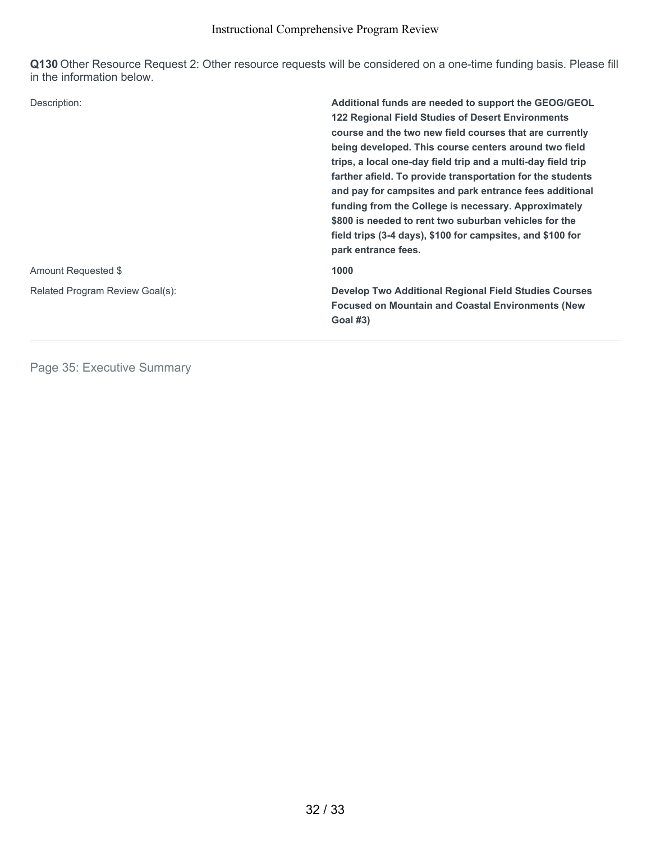**Q130** Other Resource Request 2: Other resource requests will be considered on a one-time funding basis. Please fill in the information below.

| Description:                    | Additional funds are needed to support the GEOG/GEOL<br><b>122 Regional Field Studies of Desert Environments</b><br>course and the two new field courses that are currently<br>being developed. This course centers around two field<br>trips, a local one-day field trip and a multi-day field trip<br>farther afield. To provide transportation for the students<br>and pay for campsites and park entrance fees additional<br>funding from the College is necessary. Approximately<br>\$800 is needed to rent two suburban vehicles for the<br>field trips (3-4 days), \$100 for campsites, and \$100 for<br>park entrance fees. |
|---------------------------------|-------------------------------------------------------------------------------------------------------------------------------------------------------------------------------------------------------------------------------------------------------------------------------------------------------------------------------------------------------------------------------------------------------------------------------------------------------------------------------------------------------------------------------------------------------------------------------------------------------------------------------------|
| Amount Requested \$             | 1000                                                                                                                                                                                                                                                                                                                                                                                                                                                                                                                                                                                                                                |
| Related Program Review Goal(s): | <b>Develop Two Additional Regional Field Studies Courses</b><br><b>Focused on Mountain and Coastal Environments (New</b><br><b>Goal #3)</b>                                                                                                                                                                                                                                                                                                                                                                                                                                                                                         |

Page 35: Executive Summary